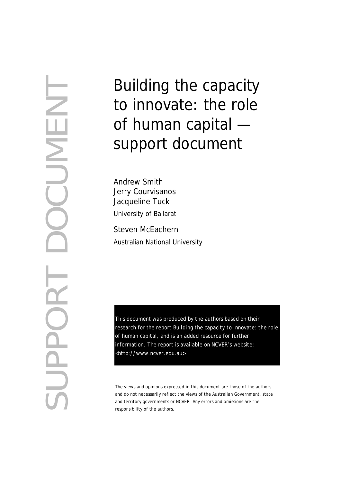SUPPORT DOCUMENT CUNE  $\mathbf{\Omega}$  $\bigcirc$ **Addin** 

# Building the capacity to innovate: the role of human capital support document

Andrew Smith Jerry Courvisanos Jacqueline Tuck University of Ballarat Steven McEachern Australian National University

This document was produced by the authors based on their research for the report *Building the capacity to innovate: the role of human capital*, and is an added resource for further information. The report is available on NCVER's website: [<http://w](http://www.ncver.edu.au/pubs.htm)ww.ncver.edu.au>.

The views and opinions expressed in this document are those of the authors and do not necessarily reflect the views of the Australian Government, state and territory governments or NCVER. Any errors and omissions are the responsibility of the authors.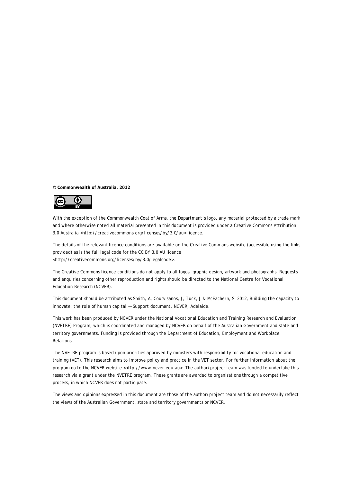**© Commonwealth of Australia, 2012**



With the exception of the Commonwealth Coat of Arms, the Department's logo, any material protected by a trade mark and where otherwise noted all material presented in this document is provided under a Creative Commons Attribution 3.0 Australia <http://creativecommons.org/licenses/by/3.0/au> licence.

The details of the relevant licence conditions are available on the Creative Commons website (accessible using the links provided) as is the full legal code for the CC BY 3.0 AU licence <http://creativecommons.org/licenses/by/3.0/legalcode>.

The Creative Commons licence conditions do not apply to all logos, graphic design, artwork and photographs. Requests and enquiries concerning other reproduction and rights should be directed to the National Centre for Vocational Education Research (NCVER).

This document should be attributed as Smith, A, Courvisanos, J, Tuck, J & McEachern, S 2012, *Building the capacity to innovate: the role of human capital — Support document,* NCVER, Adelaide.

This work has been produced by NCVER under the National Vocational Education and Training Research and Evaluation (NVETRE) Program, which is coordinated and managed by NCVER on behalf of the Australian Government and state and territory governments. Funding is provided through the Department of Education, Employment and Workplace Relations.

The NVETRE program is based upon priorities approved by ministers with responsibility for vocational education and training (VET). This research aims to improve policy and practice in the VET sector. For further information about the program go to the NCVER website <http://www.ncver.edu.au>. The author/project team was funded to undertake this research via a grant under the NVETRE program. These grants are awarded to organisations through a competitive process, in which NCVER does not participate.

The views and opinions expressed in this document are those of the author/project team and do not necessarily reflect the views of the Australian Government, state and territory governments or NCVER.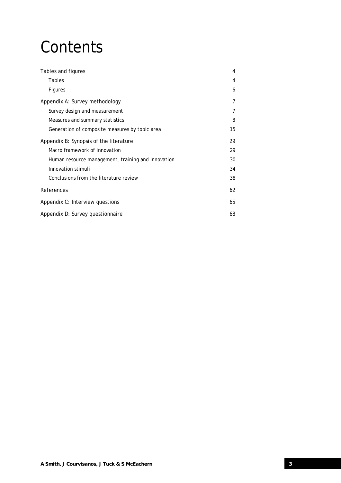# **Contents**

| Tables and figures                                 | 4  |
|----------------------------------------------------|----|
| Tables                                             | 4  |
| Figures                                            | 6  |
| Appendix A: Survey methodology                     | 7  |
| Survey design and measurement                      |    |
| Measures and summary statistics                    | 8  |
| Generation of composite measures by topic area     | 15 |
| Appendix B: Synopsis of the literature             | 29 |
| Macro framework of innovation                      | 29 |
| Human resource management, training and innovation | 30 |
| Innovation stimuli                                 | 34 |
| Conclusions from the literature review             | 38 |
| References                                         | 62 |
| Appendix C: Interview questions                    | 65 |
| Appendix D: Survey questionnaire                   | 68 |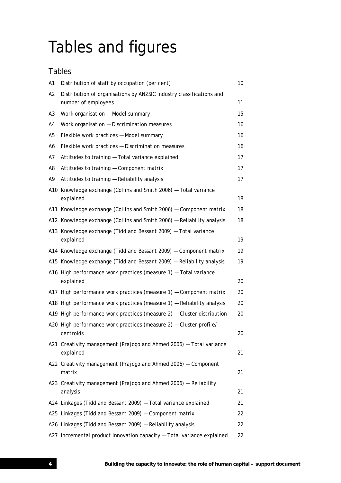# Tables and figures

# Tables

| A1             | Distribution of staff by occupation (per cent)                                              | 10 |
|----------------|---------------------------------------------------------------------------------------------|----|
| A2             | Distribution of organisations by ANZSIC industry classifications and<br>number of employees | 11 |
| A <sub>3</sub> | Work organisation - Model summary                                                           | 15 |
| A4             | Work organisation - Discrimination measures                                                 | 16 |
| A <sub>5</sub> | Flexible work practices - Model summary                                                     | 16 |
| A6             | Flexible work practices - Discrimination measures                                           | 16 |
| A7             | Attitudes to training - Total variance explained                                            | 17 |
| A8             | Attitudes to training - Component matrix                                                    | 17 |
| A9             | Attitudes to training - Reliability analysis                                                | 17 |
|                | A10 Knowledge exchange (Collins and Smith 2006) - Total variance<br>explained               | 18 |
|                | A11 Knowledge exchange (Collins and Smith 2006) - Component matrix                          | 18 |
|                | A12 Knowledge exchange (Collins and Smith 2006) - Reliability analysis                      | 18 |
|                | A13 Knowledge exchange (Tidd and Bessant 2009) - Total variance<br>explained                | 19 |
|                | A14 Knowledge exchange (Tidd and Bessant 2009) - Component matrix                           | 19 |
|                | A15 Knowledge exchange (Tidd and Bessant 2009) - Reliability analysis                       | 19 |
|                | A16 High performance work practices (measure 1) - Total variance<br>explained               | 20 |
|                | A17 High performance work practices (measure 1) - Component matrix                          | 20 |
|                | A18 High performance work practices (measure 1) - Reliability analysis                      | 20 |
|                | A19 High performance work practices (measure 2) - Cluster distribution                      | 20 |
|                | A20 High performance work practices (measure 2) - Cluster profile/<br>centroids             | 20 |
|                | A21 Creativity management (Prajogo and Ahmed 2006) - Total variance<br>explained            | 21 |
|                | A22 Creativity management (Prajogo and Ahmed 2006) - Component<br>matrix                    | 21 |
|                | A23 Creativity management (Prajogo and Ahmed 2006) - Reliability<br>analysis                | 21 |
|                | A24 Linkages (Tidd and Bessant 2009) - Total variance explained                             | 21 |
|                | A25 Linkages (Tidd and Bessant 2009) - Component matrix                                     | 22 |
|                | A26 Linkages (Tidd and Bessant 2009) - Reliability analysis                                 | 22 |
|                | A27 Incremental product innovation capacity - Total variance explained                      | 22 |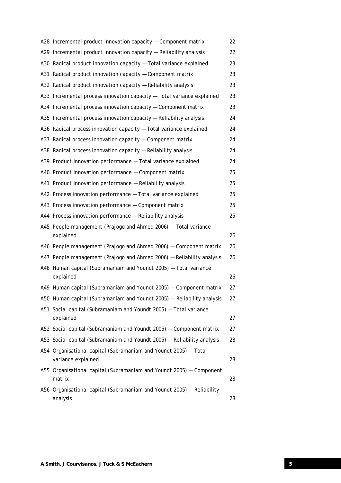| A28 Incremental product innovation capacity - Component matrix                         | 22 |
|----------------------------------------------------------------------------------------|----|
| A29 Incremental product innovation capacity - Reliability analysis                     | 22 |
| A30 Radical product innovation capacity - Total variance explained                     | 23 |
| A31 Radical product innovation capacity - Component matrix                             | 23 |
| A32 Radical product innovation capacity - Reliability analysis                         | 23 |
| A33 Incremental process innovation capacity - Total variance explained                 | 23 |
| A34 Incremental process innovation capacity - Component matrix                         | 23 |
| A35 Incremental process innovation capacity - Reliability analysis                     | 24 |
| A36 Radical process innovation capacity - Total variance explained                     | 24 |
| A37 Radical process innovation capacity - Component matrix                             | 24 |
| A38 Radical process innovation capacity - Reliability analysis                         | 24 |
| A39 Product innovation performance - Total variance explained                          | 24 |
| A40 Product innovation performance - Component matrix                                  | 25 |
| A41 Product innovation performance - Reliability analysis                              | 25 |
| A42 Process innovation performance - Total variance explained                          | 25 |
| A43 Process innovation performance - Component matrix                                  | 25 |
| A44 Process innovation performance - Reliability analysis                              | 25 |
| A45 People management (Prajogo and Ahmed 2006) - Total variance<br>explained           | 26 |
| A46 People management (Prajogo and Ahmed 2006) - Component matrix                      | 26 |
| A47 People management (Prajogo and Ahmed 2006) - Reliability analysis                  | 26 |
| A48 Human capital (Subramaniam and Youndt 2005) - Total variance<br>explained          | 26 |
| A49 Human capital (Subramaniam and Youndt 2005) - Component matrix                     | 27 |
| A50 Human capital (Subramaniam and Youndt 2005) - Reliability analysis                 | 27 |
| A51 Social capital (Subramaniam and Youndt 2005) - Total variance                      |    |
| explained                                                                              | 27 |
| A52 Social capital (Subramaniam and Youndt 2005) - Component matrix                    | 27 |
| A53 Social capital (Subramaniam and Youndt 2005) - Reliability analysis                | 28 |
| A54 Organisational capital (Subramaniam and Youndt 2005) - Total<br>variance explained | 28 |
| A55 Organisational capital (Subramaniam and Youndt 2005) - Component<br>matrix         | 28 |
| A56 Organisational capital (Subramaniam and Youndt 2005) - Reliability<br>analysis     | 28 |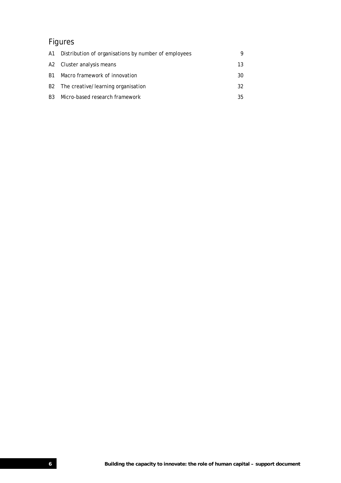# Figures

|           | A1 Distribution of organisations by number of employees | Q  |
|-----------|---------------------------------------------------------|----|
|           | A2 Cluster analysis means                               | 13 |
| B1        | Macro framework of innovation                           | 30 |
|           | B2 The creative/learning organisation                   | 32 |
| <b>B3</b> | Micro-based research framework                          | 35 |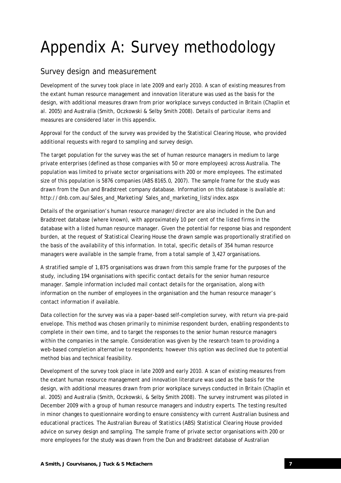# Appendix A: Survey methodology

## Survey design and measurement

Development of the survey took place in late 2009 and early 2010. A scan of existing measures from the extant human resource management and innovation literature was used as the basis for the design, with additional measures drawn from prior workplace surveys conducted in Britain (Chaplin et al. 2005) and Australia (Smith, Oczkowski & Selby Smith 2008). Details of particular items and measures are considered later in this appendix.

Approval for the conduct of the survey was provided by the Statistical Clearing House, who provided additional requests with regard to sampling and survey design.

The target population for the survey was the set of human resource managers in medium to large private enterprises (defined as those companies with 50 or more employees) across Australia. The population was limited to private sector organisations with 200 or more employees. The estimated size of this population is 5876 companies (ABS 8165.0, 2007). The sample frame for the study was drawn from the Dun and Bradstreet company database. Information on this database is available at: http://dnb.com.au/Sales\_and\_Marketing/ Sales\_and\_marketing\_lists/index.aspx

Details of the organisation's human resource manager/director are also included in the Dun and Bradstreet database (where known), with approximately 10 per cent of the listed firms in the database with a listed human resource manager. Given the potential for response bias and respondent burden, at the request of Statistical Clearing House the drawn sample was proportionally stratified on the basis of the availability of this information. In total, specific details of 354 human resource managers were available in the sample frame, from a total sample of 3,427 organisations.

A stratified sample of 1,875 organisations was drawn from this sample frame for the purposes of the study, including 194 organisations with specific contact details for the senior human resource manager. Sample information included mail contact details for the organisation, along with information on the number of employees in the organisation and the human resource manager's contact information if available.

Data collection for the survey was via a paper-based self-completion survey, with return via pre-paid envelope. This method was chosen primarily to minimise respondent burden, enabling respondents to complete in their own time, and to target the responses to the senior human resource managers within the companies in the sample. Consideration was given by the research team to providing a web-based completion alternative to respondents; however this option was declined due to potential method bias and technical feasibility.

Development of the survey took place in late 2009 and early 2010. A scan of existing measures from the extant human resource management and innovation literature was used as the basis for the design, with additional measures drawn from prior workplace surveys conducted in Britain (Chaplin et al. 2005) and Australia (Smith, Oczkowski, & Selby Smith 2008). The survey instrument was piloted in December 2009 with a group of human resource managers and industry experts. The testing resulted in minor changes to questionnaire wording to ensure consistency with current Australian business and educational practices. The Australian Bureau of Statistics (ABS) Statistical Clearing House provided advice on survey design and sampling. The sample frame of private sector organisations with 200 or more employees for the study was drawn from the Dun and Bradstreet database of Australian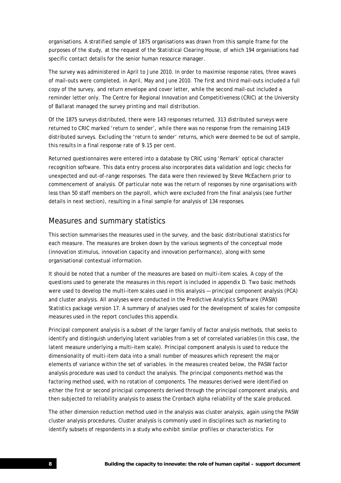organisations. A stratified sample of 1875 organisations was drawn from this sample frame for the purposes of the study, at the request of the Statistical Clearing House, of which 194 organisations had specific contact details for the senior human resource manager.

The survey was administered in April to June 2010. In order to maximise response rates, three waves of mail-outs were completed, in April, May and June 2010. The first and third mail-outs included a full copy of the survey, and return envelope and cover letter, while the second mail-out included a reminder letter only. The Centre for Regional Innovation and Competitiveness (CRIC) at the University of Ballarat managed the survey printing and mail distribution.

Of the 1875 surveys distributed, there were 143 responses returned, 313 distributed surveys were returned to CRIC marked 'return to sender', while there was no response from the remaining 1419 distributed surveys. Excluding the 'return to sender' returns, which were deemed to be out of sample, this results in a final response rate of 9.15 per cent.

Returned questionnaires were entered into a database by CRIC using 'Remark' optical character recognition software. This data entry process also incorporates data validation and logic checks for unexpected and out-of-range responses. The data were then reviewed by Steve McEachern prior to commencement of analysis. Of particular note was the return of responses by nine organisations with less than 50 staff members on the payroll, which were excluded from the final analysis (see further details in next section), resulting in a final sample for analysis of 134 responses.

## Measures and summary statistics

This section summarises the measures used in the survey, and the basic distributional statistics for each measure. The measures are broken down by the various segments of the conceptual mode (innovation stimulus, innovation capacity and innovation performance), along with some organisational contextual information.

It should be noted that a number of the measures are based on multi-item scales. A copy of the questions used to generate the measures in this report is included in appendix D. Two basic methods were used to develop the multi-item scales used in this analysis — principal component analysis (PCA) and cluster analysis. All analyses were conducted in the Predictive Analytics Software (PASW) Statistics package version 17. A summary of analyses used for the development of scales for composite measures used in the report concludes this appendix.

Principal component analysis is a subset of the larger family of factor analysis methods, that seeks to identify and distinguish underlying latent variables from a set of correlated variables (in this case, the latent measure underlying a multi-item scale). Principal component analysis is used to reduce the dimensionality of multi-item data into a small number of measures which represent the major elements of variance within the set of variables. In the measures created below, the PASW factor analysis procedure was used to conduct the analysis. The principal components method was the factoring method used, with no rotation of components. The measures derived were identified on either the first or second principal components derived through the principal component analysis, and then subjected to reliability analysis to assess the Cronbach alpha reliability of the scale produced.

The other dimension reduction method used in the analysis was cluster analysis, again using the PASW cluster analysis procedures. Cluster analysis is commonly used in disciplines such as marketing to identify subsets of respondents in a study who exhibit similar profiles or characteristics. For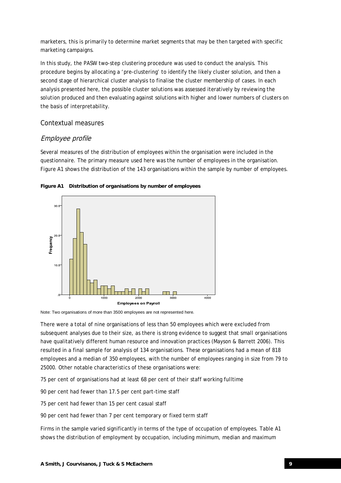marketers, this is primarily to determine market segments that may be then targeted with specific marketing campaigns.

In this study, the PASW two-step clustering procedure was used to conduct the analysis. This procedure begins by allocating a 'pre-clustering' to identify the likely cluster solution, and then a second stage of hierarchical cluster analysis to finalise the cluster membership of cases. In each analysis presented here, the possible cluster solutions was assessed iteratively by reviewing the solution produced and then evaluating against solutions with higher and lower numbers of clusters on the basis of interpretability.

## Contextual measures

## Employee profile

Several measures of the distribution of employees within the organisation were included in the questionnaire. The primary measure used here was the number of employees in the organisation. Figure A1 shows the distribution of the 143 organisations within the sample by number of employees.





Note: Two organisations of more than 3500 employees are not represented here.

There were a total of nine organisations of less than 50 employees which were excluded from subsequent analyses due to their size, as there is strong evidence to suggest that small organisations have qualitatively different human resource and innovation practices (Mayson & Barrett 2006). This resulted in a final sample for analysis of 134 organisations. These organisations had a mean of 818 employees and a median of 350 employees, with the number of employees ranging in size from 79 to 25000. Other notable characteristics of these organisations were:

75 per cent of organisations had at least 68 per cent of their staff working fulltime

90 per cent had fewer than 17.5 per cent part-time staff

75 per cent had fewer than 15 per cent casual staff

90 per cent had fewer than 7 per cent temporary or fixed term staff

Firms in the sample varied significantly in terms of the type of occupation of employees. Table A1 shows the distribution of employment by occupation, including minimum, median and maximum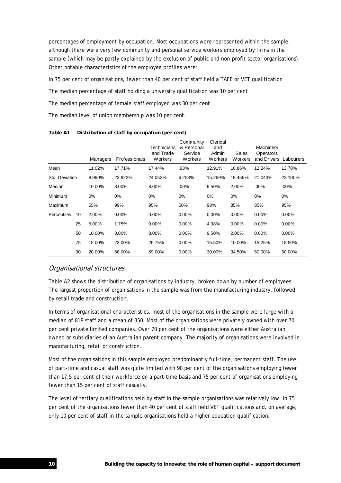percentages of employment by occupation. Most occupations were represented within the sample, although there were very few community and personal service workers employed by firms in the sample (which may be partly explained by the exclusion of public and non-profit sector organisations). Other notable characteristics of the employee profiles were:

In 75 per cent of organisations, fewer than 40 per cent of staff held a TAFE or VET qualification

The median percentage of staff holding a university qualification was 10 per cent

The median percentage of female staff employed was 30 per cent.

The median level of union membership was 10 per cent.

|                |    | Managers | Professionals | Technicians<br>and Trade<br>Workers | Community<br>& Personal<br>Service<br>Workers | Clerical<br>and<br>Admin<br>Workers | Sales<br>Workers | Machinery<br>Operators<br>and Drivers Labourers |          |
|----------------|----|----------|---------------|-------------------------------------|-----------------------------------------------|-------------------------------------|------------------|-------------------------------------------------|----------|
| Mean           |    | 11.02%   | 17.71%        | 17.44%                              | .93%                                          | 12.91%                              | 10.86%           | 12.24%                                          | 13.78%   |
| Std. Deviation |    | 8.990%   | 23.822%       | 24.052%                             | 6.253%                                        | 15.269%                             | 19.455%          | 21.043%                                         | 23.190%  |
| Median         |    | 10.00%   | 8.00%         | 8.00%                               | $.00\%$                                       | 9.50%                               | 2.00%            | $.00\%$                                         | .00%     |
| Minimum        |    | 0%       | 0%            | $0\%$                               | 0%                                            | $0\%$                               | $0\%$            | 0%                                              | $0\%$    |
| Maximum        |    | 55%      | 99%           | 95%                                 | 50%                                           | 98%                                 | 85%              | 85%                                             | 95%      |
| Percentiles    | 10 | 2.00%    | $0.00\%$      | 0.00%                               | $0.00\%$                                      | 0.00%                               | 0.00%            | $0.00\%$                                        | 0.00%    |
|                | 25 | 5.00%    | 1.75%         | 0.00%                               | $0.00\%$                                      | 4.38%                               | 0.00%            | $0.00\%$                                        | $0.00\%$ |
|                | 50 | 10.00%   | 8.00%         | 8.00%                               | $0.00\%$                                      | 9.50%                               | 2.00%            | $0.00\%$                                        | 0.00%    |
|                | 75 | 15.00%   | 23.00%        | 26.75%                              | $0.00\%$                                      | 15.50%                              | 10.00%           | 15.25%                                          | 18.50%   |
|                | 90 | 20.00%   | 66.00%        | 59.00%                              | $0.00\%$                                      | 30.00%                              | 34.50%           | 50.00%                                          | 50.00%   |

**Table A1 Distribution of staff by occupation (per cent)** 

## Organisational structures

Table A2 shows the distribution of organisations by industry, broken down by number of employees. The largest proportion of organisations in the sample was from the manufacturing industry, followed by retail trade and construction.

In terms of organisational characteristics, most of the organisations in the sample were large with a median of 818 staff and a mean of 350. Most of the organisations were privately owned with over 70 per cent private limited companies. Over 70 per cent of the organisations were either Australian owned or subsidiaries of an Australian parent company. The majority of organisations were involved in manufacturing, retail or construction.

Most of the organisations in this sample employed predominantly full-time, permanent staff. The use of part-time and casual staff was quite limited with 90 per cent of the organisations employing fewer than 17.5 per cent of their workforce on a part-time basis and 75 per cent of organisations employing fewer than 15 per cent of staff casually.

The level of tertiary qualifications held by staff in the sample organisations was relatively low. In 75 per cent of the organisations fewer than 40 per cent of staff held VET qualifications and, on average, only 10 per cent of staff in the sample organisations held a higher education qualification.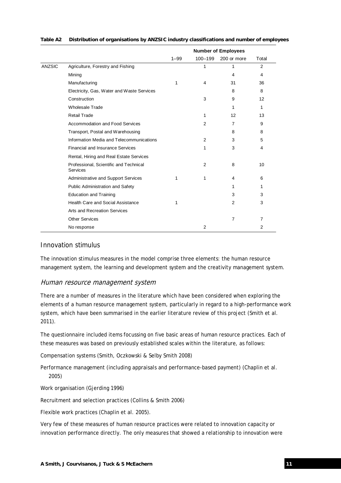|               |                                                           | <b>Number of Employees</b> |                |                 |                |
|---------------|-----------------------------------------------------------|----------------------------|----------------|-----------------|----------------|
|               |                                                           | $1 - 99$                   | 100-199        | 200 or more     | Total          |
| <b>ANZSIC</b> | Agriculture, Forestry and Fishing                         |                            | 1              | 1               | 2              |
|               | Mining                                                    |                            |                | 4               | 4              |
|               | Manufacturing                                             | 1                          | 4              | 31              | 36             |
|               | Electricity, Gas, Water and Waste Services                |                            |                | 8               | 8              |
|               | Construction                                              |                            | 3              | 9               | 12             |
|               | Wholesale Trade                                           |                            |                | 1               | 1              |
|               | <b>Retail Trade</b>                                       |                            | 1              | 12 <sup>2</sup> | 13             |
|               | Accommodation and Food Services                           |                            | 2              | $\overline{7}$  | 9              |
|               | Transport, Postal and Warehousing                         |                            |                | 8               | 8              |
|               | Information Media and Telecommunications                  |                            | 2              | 3               | 5              |
|               | <b>Financial and Insurance Services</b>                   |                            | 1              | 3               | 4              |
|               | Rental, Hiring and Real Estate Services                   |                            |                |                 |                |
|               | Professional, Scientific and Technical<br><b>Services</b> |                            | $\overline{2}$ | 8               | 10             |
|               | <b>Administrative and Support Services</b>                | 1                          | 1              | 4               | 6              |
|               | Public Administration and Safety                          |                            |                | 1               | 1              |
|               | <b>Education and Training</b>                             |                            |                | 3               | 3              |
|               | Health Care and Social Assistance                         | 1                          |                | $\overline{2}$  | 3              |
|               | <b>Arts and Recreation Services</b>                       |                            |                |                 |                |
|               | <b>Other Services</b>                                     |                            |                | $\overline{7}$  | $\overline{7}$ |
|               | No response                                               |                            | $\overline{2}$ |                 | 2              |

#### **Table A2 Distribution of organisations by ANZSIC industry classifications and number of employees**

## Innovation stimulus

The innovation stimulus measures in the model comprise three elements: the human resource management system, the learning and development system and the creativity management system.

## Human resource management system

There are a number of measures in the literature which have been considered when exploring the elements of a human resource management system, particularly in regard to a high-performance work system, which have been summarised in the earlier literature review of this project (Smith et al. 2011).

The questionnaire included items focussing on five basic areas of human resource practices. Each of these measures was based on previously established scales within the literature, as follows:

Compensation systems (Smith, Oczkowski & Selby Smith 2008)

Performance management (including appraisals and performance-based payment) (Chaplin et al. 2005)

Work organisation (Gjerding 1996)

Recruitment and selection practices (Collins & Smith 2006)

Flexible work practices (Chaplin et al. 2005).

Very few of these measures of human resource practices were related to innovation capacity or innovation performance directly. The only measures that showed a relationship to innovation were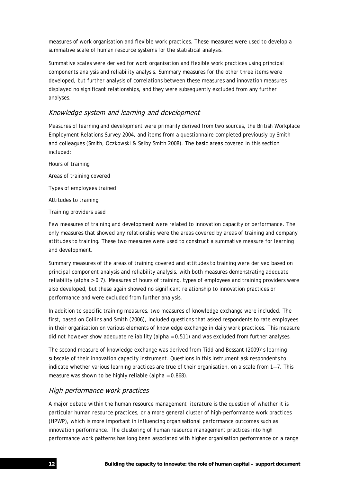measures of work organisation and flexible work practices. These measures were used to develop a summative scale of human resource systems for the statistical analysis.

Summative scales were derived for work organisation and flexible work practices using principal components analysis and reliability analysis. Summary measures for the other three items were developed, but further analysis of correlations between these measures and innovation measures displayed no significant relationships, and they were subsequently excluded from any further analyses.

## Knowledge system and learning and development

Measures of learning and development were primarily derived from two sources, the British Workplace Employment Relations Survey 2004, and items from a questionnaire completed previously by Smith and colleagues (Smith, Oczkowski & Selby Smith 2008). The basic areas covered in this section included:

Hours of training Areas of training covered Types of employees trained Attitudes to training Training providers used

Few measures of training and development were related to innovation capacity or performance. The only measures that showed any relationship were the areas covered by areas of training and company attitudes to training. These two measures were used to construct a summative measure for learning and development.

Summary measures of the areas of training covered and attitudes to training were derived based on principal component analysis and reliability analysis, with both measures demonstrating adequate reliability (alpha > 0.7). Measures of hours of training, types of employees and training providers were also developed, but these again showed no significant relationship to innovation practices or performance and were excluded from further analysis.

In addition to specific training measures, two measures of knowledge exchange were included. The first, based on Collins and Smith (2006), included questions that asked respondents to rate employees in their organisation on various elements of knowledge exchange in daily work practices. This measure did not however show adequate reliability (alpha = 0.511) and was excluded from further analyses.

The second measure of knowledge exchange was derived from Tidd and Bessant (2009)'s learning subscale of their innovation capacity instrument. Questions in this instrument ask respondents to indicate whether various learning practices are true of their organisation, on a scale from 1—7. This measure was shown to be highly reliable (alpha = 0.868).

## High performance work practices

A major debate within the human resource management literature is the question of whether it is particular human resource practices, or a more general cluster of high-performance work practices (HPWP), which is more important in influencing organisational performance outcomes such as innovation performance. The clustering of human resource management practices into high performance work patterns has long been associated with higher organisation performance on a range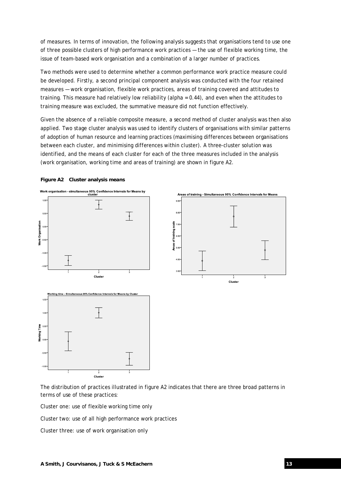of measures. In terms of innovation, the following analysis suggests that organisations tend to use one of three possible clusters of high performance work practices — the use of flexible working time, the issue of team-based work organisation and a combination of a larger number of practices.

Two methods were used to determine whether a common performance work practice measure could be developed. Firstly, a second principal component analysis was conducted with the four retained measures — work organisation, flexible work practices, areas of training covered and attitudes to training. This measure had relatively low reliability (alpha = 0.44), and even when the attitudes to training measure was excluded, the summative measure did not function effectively.

Given the absence of a reliable composite measure, a second method of cluster analysis was then also applied. Two stage cluster analysis was used to identify clusters of organisations with similar patterns of adoption of human resource and learning practices (maximising differences between organisations between each cluster, and minimising differences within cluster). A three-cluster solution was identified, and the means of each cluster for each of the three measures included in the analysis (work organisation, working time and areas of training) are shown in figure A2.

#### **Figure A2 Cluster analysis means**



The distribution of practices illustrated in figure A2 indicates that there are three broad patterns in terms of use of these practices:

Cluster one: use of flexible working time only

Cluster two: use of all high performance work practices

Cluster three: use of work organisation only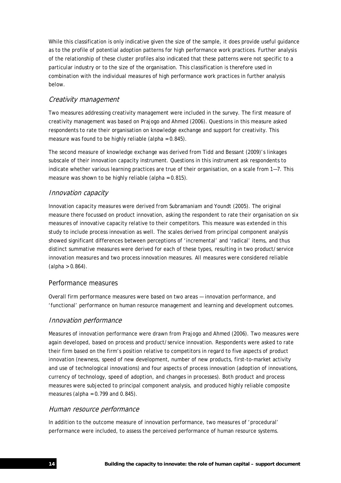While this classification is only indicative given the size of the sample, it does provide useful guidance as to the profile of potential adoption patterns for high performance work practices. Further analysis of the relationship of these cluster profiles also indicated that these patterns were not specific to a particular industry or to the size of the organisation. This classification is therefore used in combination with the individual measures of high performance work practices in further analysis below.

## Creativity management

Two measures addressing creativity management were included in the survey. The first measure of creativity management was based on Prajogo and Ahmed (2006). Questions in this measure asked respondents to rate their organisation on knowledge exchange and support for creativity. This measure was found to be highly reliable (alpha = 0.845).

The second measure of knowledge exchange was derived from Tidd and Bessant (2009)'s linkages subscale of their innovation capacity instrument. Questions in this instrument ask respondents to indicate whether various learning practices are true of their organisation, on a scale from 1—7. This measure was shown to be highly reliable (alpha = 0.815).

## Innovation capacity

Innovation capacity measures were derived from Subramaniam and Youndt (2005). The original measure there focussed on product innovation, asking the respondent to rate their organisation on six measures of innovative capacity relative to their competitors. This measure was extended in this study to include process innovation as well. The scales derived from principal component analysis showed significant differences between perceptions of 'incremental' and 'radical' items, and thus distinct summative measures were derived for each of these types, resulting in two product/service innovation measures and two process innovation measures. All measures were considered reliable  $(alpha > 0.864).$ 

## Performance measures

Overall firm performance measures were based on two areas — innovation performance, and 'functional' performance on human resource management and learning and development outcomes.

## Innovation performance

Measures of innovation performance were drawn from Prajogo and Ahmed (2006). Two measures were again developed, based on process and product/service innovation. Respondents were asked to rate their firm based on the firm's position relative to competitors in regard to five aspects of product innovation (newness, speed of new development, number of new products, first-to-market activity and use of technological innovations) and four aspects of process innovation (adoption of innovations, currency of technology, speed of adoption, and changes in processes). Both product and process measures were subjected to principal component analysis, and produced highly reliable composite measures (alpha =  $0.799$  and  $0.845$ ).

## Human resource performance

In addition to the outcome measure of innovation performance, two measures of 'procedural' performance were included, to assess the perceived performance of human resource systems.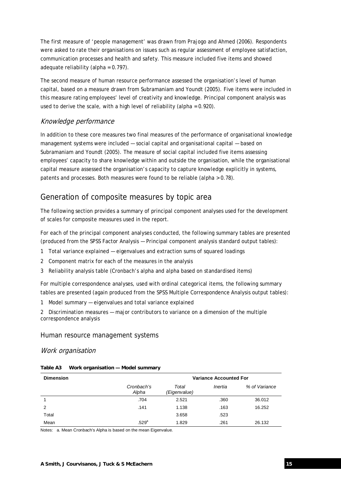The first measure of 'people management' was drawn from Prajogo and Ahmed (2006). Respondents were asked to rate their organisations on issues such as regular assessment of employee satisfaction, communication processes and health and safety. This measure included five items and showed adequate reliability (alpha =  $0.797$ ).

The second measure of human resource performance assessed the organisation's level of human capital, based on a measure drawn from Subramaniam and Youndt (2005). Five items were included in this measure rating employees' level of creativity and knowledge. Principal component analysis was used to derive the scale, with a high level of reliability (alpha =  $0.920$ ).

## Knowledge performance

In addition to these core measures two final measures of the performance of organisational knowledge management systems were included — social capital and organisational capital — based on Subramaniam and Youndt (2005). The measure of social capital included five items assessing employees' capacity to share knowledge within and outside the organisation, while the organisational capital measure assessed the organisation's capacity to capture knowledge explicitly in systems, patents and processes. Both measures were found to be reliable (alpha > 0.78).

## Generation of composite measures by topic area

The following section provides a summary of principal component analyses used for the development of scales for composite measures used in the report.

For each of the principal component analyses conducted, the following summary tables are presented (produced from the SPSS Factor Analysis — Principal component analysis standard output tables):

- 1 Total variance explained eigenvalues and extraction sums of squared loadings
- 2 Component matrix for each of the measures in the analysis
- 3 Reliability analysis table (Cronbach's alpha and alpha based on standardised items)

For multiple correspondence analyses, used with ordinal categorical items, the following summary tables are presented (again produced from the SPSS Multiple Correspondence Analysis output tables):

1 Model summary — eigenvalues and total variance explained

2 Discrimination measures — major contributors to variance on a dimension of the multiple correspondence analysis

## Human resource management systems

#### Work organisation

| Table A3 | Work organisation - Model summary |  |
|----------|-----------------------------------|--|
|          |                                   |  |

| <b>Dimension</b> | <b>Variance Accounted For</b> |                       |         |        |
|------------------|-------------------------------|-----------------------|---------|--------|
|                  | Cronbach's<br>Alpha           | Total<br>(Eigenvalue) | Inertia |        |
|                  | .704                          | 2.521                 | .360    | 36.012 |
| 2                | .141                          | 1.138                 | .163    | 16.252 |
| Total            |                               | 3.658                 | .523    |        |
| Mean             | $.529^a$                      | 1.829                 | .261    | 26.132 |

Notes: a. Mean Cronbach's Alpha is based on the mean Eigenvalue.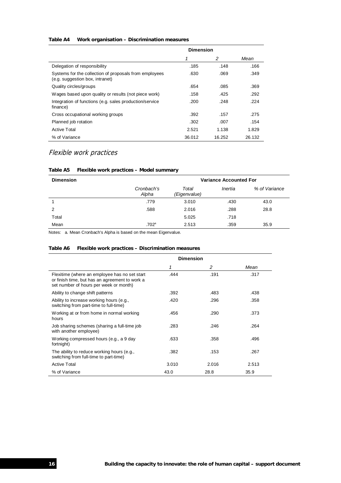#### **Table A4 Work organisation – Discrimination measures**

|                                                                                           | <b>Dimension</b> |        |        |
|-------------------------------------------------------------------------------------------|------------------|--------|--------|
|                                                                                           |                  | 2      | Mean   |
| Delegation of responsibility                                                              | .185             | .148   | .166   |
| Systems for the collection of proposals from employees<br>(e.g. suggestion box, intranet) | .630             | .069   | .349   |
| Quality circles/groups                                                                    | .654             | .085   | .369   |
| Wages based upon quality or results (not piece work)                                      | .158             | .425   | .292   |
| Integration of functions (e.g. sales production/service<br>finance)                       | .200             | .248   | .224   |
| Cross occupational working groups                                                         | .392             | .157   | .275   |
| Planned job rotation                                                                      | .302             | .007   | .154   |
| <b>Active Total</b>                                                                       | 2.521            | 1.138  | 1.829  |
| % of Variance                                                                             | 36.012           | 16.252 | 26.132 |

## Flexible work practices

#### **Table A5 Flexible work practices – Model summary**

| <b>Dimension</b> | <b>Variance Accounted For</b> |                                  |      |               |
|------------------|-------------------------------|----------------------------------|------|---------------|
|                  | Cronbach's<br>Alpha           | Total<br>Inertia<br>(Eigenvalue) |      | % of Variance |
|                  | .779                          | 3.010                            | .430 | 43.0          |
| 2                | .588                          | 2.016                            | .288 | 28.8          |
| Total            |                               | 5.025                            | .718 |               |
| Mean             | .702 <sup>a</sup>             | 2.513                            | .359 | 35.9          |

Notes: a. Mean Cronbach's Alpha is based on the mean Eigenvalue.

#### **Table A6 Flexible work practices – Discrimination measures**

|                                                                                                                                           | <b>Dimension</b> |       |       |  |
|-------------------------------------------------------------------------------------------------------------------------------------------|------------------|-------|-------|--|
|                                                                                                                                           | 1                | 2     | Mean  |  |
| Flexitime (where an employee has no set start<br>or finish time, but has an agreement to work a<br>set number of hours per week or month) | .444             | .191  | .317  |  |
| Ability to change shift patterns                                                                                                          | .392             | .483  | .438  |  |
| Ability to increase working hours (e.g.,<br>switching from part-time to full-time)                                                        | .420             | .296  | .358  |  |
| Working at or from home in normal working<br>hours                                                                                        | .456             | .290  | .373  |  |
| Job sharing schemes (sharing a full-time job<br>with another employee)                                                                    | .283             | .246  | .264  |  |
| Working compressed hours (e.g., a 9 day<br>fortnight)                                                                                     | .633             | .358  | .496  |  |
| The ability to reduce working hours (e.g.,<br>switching from full-time to part-time)                                                      | .382             | .153  | .267  |  |
| <b>Active Total</b>                                                                                                                       | 3.010            | 2.016 | 2.513 |  |
| % of Variance                                                                                                                             | 43.0             | 28.8  | 35.9  |  |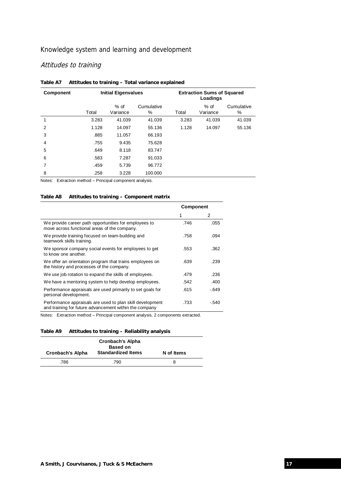## Knowledge system and learning and development

## Attitudes to training

|        | <b>Component</b> | <b>Initial Eigenvalues</b> |                                                  |                 | <b>Extraction Sums of Squared</b><br>Loadings |                    |                 |
|--------|------------------|----------------------------|--------------------------------------------------|-----------------|-----------------------------------------------|--------------------|-----------------|
|        |                  | Total                      | $%$ of<br>Variance                               | Cumulative<br>℅ | Total                                         | $%$ of<br>Variance | Cumulative<br>% |
| 1      |                  | 3.283                      | 41.039                                           | 41.039          | 3.283                                         | 41.039             | 41.039          |
| 2      |                  | 1.128                      | 14.097                                           | 55.136          | 1.128                                         | 14.097             | 55.136          |
| 3      |                  | .885                       | 11.057                                           | 66.193          |                                               |                    |                 |
| 4      |                  | .755                       | 9.435                                            | 75.628          |                                               |                    |                 |
| 5      |                  | .649                       | 8.118                                            | 83.747          |                                               |                    |                 |
| 6      |                  | .583                       | 7.287                                            | 91.033          |                                               |                    |                 |
| 7      |                  | .459                       | 5.739                                            | 96.772          |                                               |                    |                 |
| 8      |                  | .258                       | 3.228                                            | 100.000         |                                               |                    |                 |
| Notes: |                  |                            | Extraction method - Principal component analysis |                 |                                               |                    |                 |

### **Table A7 Attitudes to training – Total variance explained**

Notes: Extraction method – Principal component analysis.

#### **Table A8 Attitudes to training – Component matrix**

|                                                                                                                     | <b>Component</b> |        |
|---------------------------------------------------------------------------------------------------------------------|------------------|--------|
|                                                                                                                     |                  | 2      |
| We provide career path opportunities for employees to<br>move across functional areas of the company.               | .746             | .055   |
| We provide training focused on team-building and<br>teamwork skills training.                                       | .758             | .094   |
| We sponsor company social events for employees to get<br>to know one another.                                       | .553             | .362   |
| We offer an orientation program that trains employees on<br>the history and processes of the company.               | .639             | .239   |
| We use job rotation to expand the skills of employees.                                                              | .479             | .236   |
| We have a mentoring system to help develop employees.                                                               | .542             | .400   |
| Performance appraisals are used primarily to set goals for<br>personal development.                                 | .615             | $-649$ |
| Performance appraisals are used to plan skill development<br>and training for future advancement within the company | .733             | -.540  |

Notes: Extraction method – Principal component analysis, 2 components extracted.

| Table A9 Attitudes to training - Reliability analysis |  |
|-------------------------------------------------------|--|
|-------------------------------------------------------|--|

| <b>Cronbach's Alpha</b><br><b>Based on</b> |                           |            |  |  |
|--------------------------------------------|---------------------------|------------|--|--|
| Cronbach's Alpha                           | <b>Standardized Items</b> | N of Items |  |  |
| .786                                       | 790                       |            |  |  |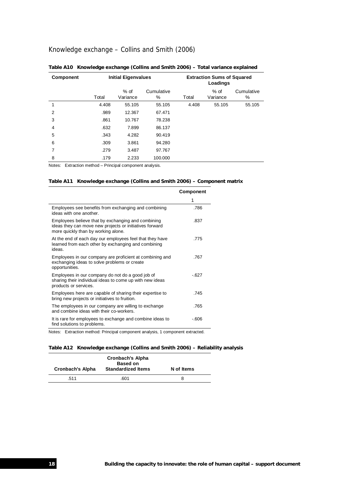## Knowledge exchange – Collins and Smith (2006)

| <b>Component</b> | <b>Initial Eigenvalues</b>                                         |                    |                 | <b>Extraction Sums of Squared</b><br>Loadings |                    |                 |
|------------------|--------------------------------------------------------------------|--------------------|-----------------|-----------------------------------------------|--------------------|-----------------|
|                  | Total                                                              | $%$ of<br>Variance | Cumulative<br>% | Total                                         | $%$ of<br>Variance | Cumulative<br>% |
| 1                | 4.408                                                              | 55.105             | 55.105          | 4.408                                         | 55.105             | 55.105          |
| 2                | .989                                                               | 12.367             | 67.471          |                                               |                    |                 |
| 3                | .861                                                               | 10.767             | 78.238          |                                               |                    |                 |
| $\overline{4}$   | .632                                                               | 7.899              | 86.137          |                                               |                    |                 |
| 5                | .343                                                               | 4.282              | 90.419          |                                               |                    |                 |
| 6                | .309                                                               | 3.861              | 94.280          |                                               |                    |                 |
| 7                | .279                                                               | 3.487              | 97.767          |                                               |                    |                 |
| 8                | .179                                                               | 2.233              | 100.000         |                                               |                    |                 |
| $1 - 1 - 1$      | Figure of the contract in Figure to all a concern contract about a |                    |                 |                                               |                    |                 |

### **Table A10 Knowledge exchange (Collins and Smith 2006) – Total variance explained**

Notes: Extraction method – Principal component analysis.

#### **Table A11 Knowledge exchange (Collins and Smith 2006) – Component matrix**

|                                                                                                                                                      | Component |
|------------------------------------------------------------------------------------------------------------------------------------------------------|-----------|
|                                                                                                                                                      | 1         |
| Employees see benefits from exchanging and combining<br>ideas with one another.                                                                      | .786      |
| Employees believe that by exchanging and combining<br>ideas they can move new projects or initiatives forward<br>more quickly than by working alone. | .837      |
| At the end of each day our employees feel that they have<br>learned from each other by exchanging and combining<br>ideas.                            | .775      |
| Employees in our company are proficient at combining and<br>exchanging ideas to solve problems or create<br>opportunities.                           | .767      |
| Employees in our company do not do a good job of<br>sharing their individual ideas to come up with new ideas<br>products or services.                | $-627$    |
| Employees here are capable of sharing their expertise to<br>bring new projects or initiatives to fruition.                                           | .745      |
| The employees in our company are willing to exchange<br>and combine ideas with their co-workers.                                                     | .765      |
| It is rare for employees to exchange and combine ideas to<br>find solutions to problems.                                                             | -.606     |

Notes: Extraction method: Principal component analysis, 1 component extracted.

#### **Table A12 Knowledge exchange (Collins and Smith 2006) – Reliability analysis**

| <b>Cronbach's Alpha</b> | <b>Cronbach's Alpha</b><br><b>Based on</b><br><b>Standardized Items</b> | N of Items |
|-------------------------|-------------------------------------------------------------------------|------------|
| .511                    | .601                                                                    | 8          |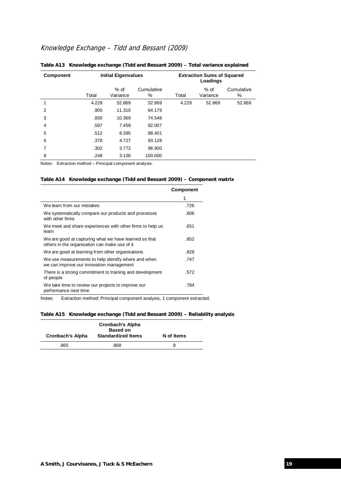## Knowledge Exchange – Tidd and Bessant (2009)

| <b>Component</b> | <b>Initial Eigenvalues</b> |                  |                 | <b>Extraction Sums of Squared</b><br>Loadings |                    |                 |
|------------------|----------------------------|------------------|-----------------|-----------------------------------------------|--------------------|-----------------|
|                  | Total                      | % of<br>Variance | Cumulative<br>% | Total                                         | $%$ of<br>Variance | Cumulative<br>℅ |
| 1                | 4.229                      | 52.869           | 52.869          | 4.229                                         | 52.869             | 52.869          |
| 2                | .905                       | 11.310           | 64.179          |                                               |                    |                 |
| 3                | .830                       | 10.369           | 74.548          |                                               |                    |                 |
| $\overline{4}$   | .597                       | 7.459            | 82.007          |                                               |                    |                 |
| 5                | .512                       | 6.395            | 88.401          |                                               |                    |                 |
| 6                | .378                       | 4.727            | 93.128          |                                               |                    |                 |
| 7                | .302                       | 3.772            | 96.900          |                                               |                    |                 |
| 8                | .248                       | 3.100            | 100.000         |                                               |                    |                 |

#### **Table A13 Knowledge exchange (Tidd and Bessant 2009) – Total variance explained**

Notes: Extraction method – Principal component analysis.

### **Table A14 Knowledge exchange (Tidd and Bessant 2009) – Component matrix**

|                                                                                                        | <b>Component</b> |
|--------------------------------------------------------------------------------------------------------|------------------|
|                                                                                                        | 1                |
| We learn from our mistakes                                                                             | .726             |
| We systematically compare our products and processes<br>with other firms                               | .606             |
| We meet and share experiences with other firms to help us<br>learn                                     | .651             |
| We are good at capturing what we have learned so that<br>others in the organisation can make use of it | .852             |
| We are good at learning from other organisations                                                       | .828             |
| We use measurements to help identify where and when<br>we can improve our innovation management        | .747             |
| There is a strong commitment to training and development<br>of people                                  | .572             |
| We take time to review our projects to improve our<br>performance next time                            | .784             |

Notes: Extraction method: Principal component analysis, 1 component extracted.

#### **Table A15 Knowledge exchange (Tidd and Bessant 2009) – Reliability analysis**

| Cronbach's Alpha | <b>Cronbach's Alpha</b><br><b>Based on</b><br><b>Standardized Items</b> | N of Items |
|------------------|-------------------------------------------------------------------------|------------|
| .865             | .868                                                                    |            |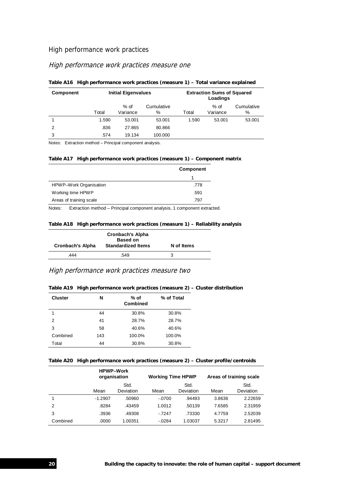## High performance work practices

## High performance work practices measure one

| <b>Component</b> | <b>Initial Eigenvalues</b> |                    |                    | <b>Extraction Sums of Squared</b><br>Loadings |                    |                 |
|------------------|----------------------------|--------------------|--------------------|-----------------------------------------------|--------------------|-----------------|
|                  | Total                      | $%$ of<br>Variance | Cumulative<br>$\%$ | Total                                         | $%$ of<br>Variance | Cumulative<br>% |
|                  | 1.590                      | 53.001             | 53.001             | 1.590                                         | 53.001             | 53.001          |
| 2                | .836                       | 27.865             | 80.866             |                                               |                    |                 |
| 3                | .574                       | 19.134             | 100.000            |                                               |                    |                 |

#### **Table A16 High performance work practices (measure 1) – Total variance explained**

Notes: Extraction method – Principal component analysis.

## **Table A17 High performance work practices (measure 1) – Component matrix**

|                         | Component |
|-------------------------|-----------|
|                         |           |
| HPWP-Work Organisation  | .778      |
| Working time HPWP       | .591      |
| Areas of training scale | .797      |

Notes: Extraction method – Principal component analysis, 1 component extracted.

#### **Table A18 High performance work practices (measure 1) – Reliability analysis**

| <b>Cronbach's Alpha</b><br>Cronbach's Alpha | <b>Based on</b><br><b>Standardized Items</b> | N of Items |
|---------------------------------------------|----------------------------------------------|------------|
| 444                                         | .549                                         | З          |

## High performance work practices measure two

#### **Table A19 High performance work practices (measure 2) – Cluster distribution**

| <b>Cluster</b> | N   | % of Total<br>% of<br>Combined |        |
|----------------|-----|--------------------------------|--------|
|                | 44  | 30.8%                          | 30.8%  |
| $\overline{2}$ | 41  | 28.7%                          | 28.7%  |
| 3              | 58  | 40.6%                          | 40.6%  |
| Combined       | 143 | 100.0%                         | 100.0% |
| Total          | 44  | 30.8%                          | 30.8%  |

#### **Table A20 High performance work practices (measure 2) – Cluster profile/centroids**

|          | <b>HPWP-Work</b><br>organisation |                   | <b>Working Time HPWP</b> |                   | Areas of training scale |                   |
|----------|----------------------------------|-------------------|--------------------------|-------------------|-------------------------|-------------------|
|          | Mean                             | Std.<br>Deviation | Mean                     | Std.<br>Deviation | Mean                    | Std.<br>Deviation |
|          | $-1.2907$                        | .50960            | $-.0700$                 | .94493            | 3.8636                  | 2.22659           |
| 2        | .8284                            | .43459            | 1.0012                   | .50139            | 7.6585                  | 2.31959           |
| 3        | .3936                            | .49308            | $-7247$                  | .73330            | 4.7759                  | 2.52039           |
| Combined | .0000                            | 1.00351           | $-0.0284$                | 1.03037           | 5.3217                  | 2.81495           |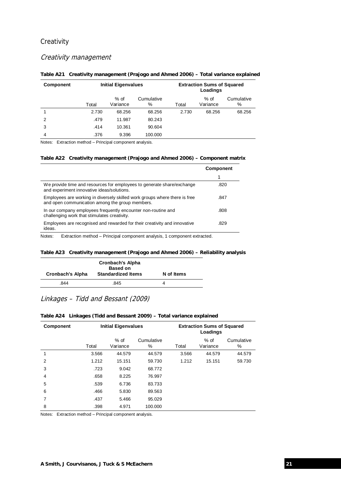## **Creativity**

## Creativity management

| <b>Component</b> | <b>Initial Eigenvalues</b> |                  | <b>Extraction Sums of Squared</b><br>Loadings |       |                    |                 |
|------------------|----------------------------|------------------|-----------------------------------------------|-------|--------------------|-----------------|
|                  | Total                      | % of<br>Variance | Cumulative<br>%                               | Total | $%$ of<br>Variance | Cumulative<br>% |
|                  | 2.730                      | 68.256           | 68.256                                        | 2.730 | 68.256             | 68.256          |
| 2                | .479                       | 11.987           | 80.243                                        |       |                    |                 |
| 3                | .414                       | 10.361           | 90.604                                        |       |                    |                 |
| 4                | .376                       | 9.396            | 100.000                                       |       |                    |                 |

#### **Table A21 Creativity management (Prajogo and Ahmed 2006) – Total variance explained**

Notes: Extraction method – Principal component analysis.

#### **Table A22 Creativity management (Prajogo and Ahmed 2006) – Component matrix**

|                                                                                                                               | <b>Component</b> |
|-------------------------------------------------------------------------------------------------------------------------------|------------------|
|                                                                                                                               |                  |
| We provide time and resources for employees to generate share/exchange<br>and experiment innovative ideas/solutions.          | .820             |
| Employees are working in diversely skilled work groups where there is free<br>and open communication among the group members. | .847             |
| In our company employees frequently encounter non-routine and<br>challenging work that stimulates creativity.                 | .808             |
| Employees are recognised and rewarded for their creativity and innovative<br>ideas.                                           | .829             |

Notes: Extraction method – Principal component analysis, 1 component extracted.

#### **Table A23 Creativity management (Prajogo and Ahmed 2006) – Reliability analysis**

| Cronbach's Alpha | <b>Cronbach's Alpha</b><br><b>Based on</b><br><b>Standardized Items</b> | N of Items |
|------------------|-------------------------------------------------------------------------|------------|
| .844             | .845                                                                    |            |

## Linkages – Tidd and Bessant (2009)

| <b>Component</b> | <b>Initial Eigenvalues</b> |                    |                 | <b>Extraction Sums of Squared</b><br>Loadings |                    |                 |
|------------------|----------------------------|--------------------|-----------------|-----------------------------------------------|--------------------|-----------------|
|                  | Total                      | $%$ of<br>Variance | Cumulative<br>% | Total                                         | $%$ of<br>Variance | Cumulative<br>% |
|                  | 3.566                      | 44.579             | 44.579          | 3.566                                         | 44.579             | 44.579          |
| 2                | 1.212                      | 15.151             | 59.730          | 1.212                                         | 15.151             | 59.730          |
| 3                | .723                       | 9.042              | 68.772          |                                               |                    |                 |
| 4                | .658                       | 8.225              | 76.997          |                                               |                    |                 |
| 5                | .539                       | 6.736              | 83.733          |                                               |                    |                 |
| 6                | .466                       | 5.830              | 89.563          |                                               |                    |                 |
| 7                | .437                       | 5.466              | 95.029          |                                               |                    |                 |
| 8                | .398                       | 4.971              | 100.000         |                                               |                    |                 |

#### **Table A24 Linkages (Tidd and Bessant 2009) – Total variance explained**

Notes: Extraction method – Principal component analysis.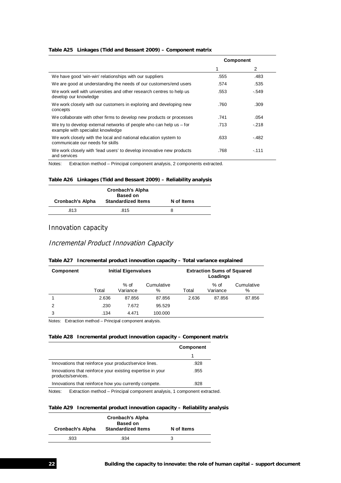#### **Table A25 Linkages (Tidd and Bessant 2009) – Component matrix**

|                                                                                                            | <b>Component</b> |        |  |
|------------------------------------------------------------------------------------------------------------|------------------|--------|--|
|                                                                                                            | 1                | 2      |  |
| We have good 'win-win' relationships with our suppliers                                                    | .555             | .483   |  |
| We are good at understanding the needs of our customers/end users                                          | .574             | .535   |  |
| We work well with universities and other research centres to help us<br>develop our knowledge              | .553             | $-549$ |  |
| We work closely with our customers in exploring and developing new<br>concepts                             | .760             | .309   |  |
| We collaborate with other firms to develop new products or processes                                       | .741             | .054   |  |
| We try to develop external networks of people who can help us $-$ for<br>example with specialist knowledge | .713             | $-218$ |  |
| We work closely with the local and national education system to<br>communicate our needs for skills        | .633             | - 482  |  |
| We work closely with 'lead users' to develop innovative new products<br>and services                       | .768             | $-111$ |  |

Notes: Extraction method – Principal component analysis, 2 components extracted.

#### **Table A26 Linkages (Tidd and Bessant 2009) – Reliability analysis**

| Cronbach's Alpha | <b>Cronbach's Alpha</b><br><b>Based on</b><br><b>Standardized Items</b> | N of Items |
|------------------|-------------------------------------------------------------------------|------------|
| .813             | .815                                                                    | 8          |

## Innovation capacity

## Incremental Product Innovation Capacity

#### **Table A27 Incremental product innovation capacity – Total variance explained**

| <b>Component</b> | <b>Initial Eigenvalues</b> |                    |                    | <b>Extraction Sums of Squared</b><br>Loadings |                    |                    |
|------------------|----------------------------|--------------------|--------------------|-----------------------------------------------|--------------------|--------------------|
|                  | Total                      | $%$ of<br>Variance | Cumulative<br>$\%$ | Total                                         | $%$ of<br>Variance | Cumulative<br>$\%$ |
|                  | 2.636                      | 87.856             | 87.856             | 2.636                                         | 87.856             | 87.856             |
| $\mathcal{P}$    | .230                       | 7.672              | 95.529             |                                               |                    |                    |
| 3                | .134                       | 4.471              | 100.000            |                                               |                    |                    |

Notes: Extraction method – Principal component analysis.

#### **Table A28 Incremental product innovation capacity – Component matrix**

|                                                                                  | <b>Component</b> |
|----------------------------------------------------------------------------------|------------------|
|                                                                                  |                  |
| Innovations that reinforce your product/service lines.                           | .928             |
| Innovations that reinforce your existing expertise in your<br>products/services. | .955             |
| Innovations that reinforce how you currently compete.                            | .928             |
| Extraction mathod - Principal component analysis 1 component extractor<br>Notae: |                  |

Notes: Extraction method – Principal component analysis, 1 component extracted.

#### **Table A29 Incremental product innovation capacity – Reliability analysis**

| <b>Cronbach's Alpha</b> | <b>Cronbach's Alpha</b><br><b>Based on</b><br><b>Standardized Items</b> | N of Items |
|-------------------------|-------------------------------------------------------------------------|------------|
| .933                    | .934                                                                    |            |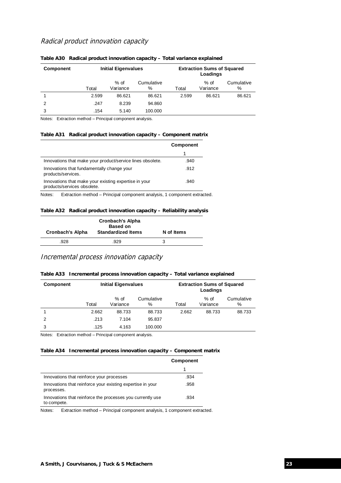## Radical product innovation capacity

| <b>Component</b> | <b>Initial Eigenvalues</b> |                    |                 | <b>Extraction Sums of Squared</b><br>Loadings |                    |                 |
|------------------|----------------------------|--------------------|-----------------|-----------------------------------------------|--------------------|-----------------|
|                  | Total                      | $%$ of<br>Variance | Cumulative<br>% | Total                                         | $%$ of<br>Variance | Cumulative<br>% |
|                  | 2.599                      | 86.621             | 86.621          | 2.599                                         | 86.621             | 86.621          |
| 2                | .247                       | 8.239              | 94.860          |                                               |                    |                 |
| 3                | .154                       | 5.140              | 100.000         |                                               |                    |                 |

#### **Table A30 Radical product innovation capacity – Total variance explained**

Notes: Extraction method – Principal component analysis.

#### **Table A31 Radical product innovation capacity – Component matrix**

|                                                                                      | <b>Component</b> |
|--------------------------------------------------------------------------------------|------------------|
|                                                                                      |                  |
| Innovations that make your product/service lines obsolete.                           | .940             |
| Innovations that fundamentally change your<br>products/services.                     | .912             |
| Innovations that make your existing expertise in your<br>products/services obsolete. | .940             |

Notes: Extraction method – Principal component analysis, 1 component extracted.

#### **Table A32 Radical product innovation capacity – Reliability analysis**

| <b>Cronbach's Alpha</b><br><b>Based on</b><br><b>Standardized Items</b><br><b>Cronbach's Alpha</b> |      | N of Items |
|----------------------------------------------------------------------------------------------------|------|------------|
| .928                                                                                               | .929 |            |

## Incremental process innovation capacity

| <b>Component</b> | <b>Initial Eigenvalues</b> |                  |                 | <b>Extraction Sums of Squared</b><br>Loadings |                    |                 |
|------------------|----------------------------|------------------|-----------------|-----------------------------------------------|--------------------|-----------------|
|                  | Total                      | % of<br>Variance | Cumulative<br>% | Total                                         | $%$ of<br>Variance | Cumulative<br>% |
|                  | 2.662                      | 88.733           | 88.733          | 2.662                                         | 88.733             | 88.733          |
| 2                | .213                       | 7.104            | 95.837          |                                               |                    |                 |
| 3                | .125                       | 4.163            | 100.000         |                                               |                    |                 |

Notes: Extraction method – Principal component analysis.

#### **Table A34 Incremental process innovation capacity – Component matrix**

|                                                                           | <b>Component</b> |
|---------------------------------------------------------------------------|------------------|
|                                                                           |                  |
| Innovations that reinforce your processes                                 | .934             |
| Innovations that reinforce your existing expertise in your<br>processes.  | .958             |
| Innovations that reinforce the processes you currently use<br>to compete. | .934             |

Notes: Extraction method – Principal component analysis, 1 component extracted.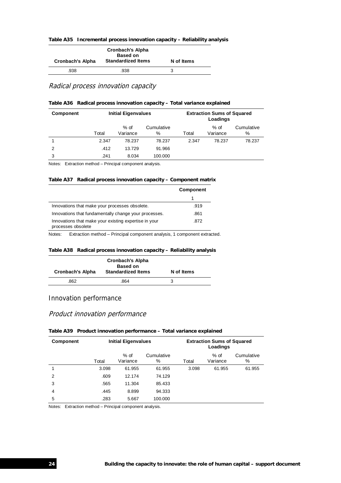| Table A35 Incremental process innovation capacity - Reliability analysis |  |  |
|--------------------------------------------------------------------------|--|--|
|--------------------------------------------------------------------------|--|--|

| Cronbach's Alpha | <b>Cronbach's Alpha</b><br><b>Based on</b><br><b>Standardized Items</b> | N of Items |
|------------------|-------------------------------------------------------------------------|------------|
| .938             | .938                                                                    |            |

Radical process innovation capacity

| <b>Component</b> | <b>Initial Eigenvalues</b> |                  |                 | <b>Extraction Sums of Squared</b><br>Loadings |                    |                 |
|------------------|----------------------------|------------------|-----------------|-----------------------------------------------|--------------------|-----------------|
|                  | Total                      | % of<br>Variance | Cumulative<br>% | Total                                         | $%$ of<br>Variance | Cumulative<br>% |
|                  | 2.347                      | 78.237           | 78.237          | 2.347                                         | 78.237             | 78.237          |
| $\mathfrak{p}$   | .412                       | 13.729           | 91.966          |                                               |                    |                 |
| 3                | .241                       | 8.034            | 100.000         |                                               |                    |                 |

Notes: Extraction method – Principal component analysis.

#### **Table A37 Radical process innovation capacity – Component matrix**

|                                                                             | <b>Component</b> |
|-----------------------------------------------------------------------------|------------------|
|                                                                             |                  |
| Innovations that make your processes obsolete.                              | .919             |
| Innovations that fundamentally change your processes.                       | .861             |
| Innovations that make your existing expertise in your<br>processes obsolete | .872             |

Notes: Extraction method – Principal component analysis, 1 component extracted.

### **Table A38 Radical process innovation capacity – Reliability analysis**

| <b>Cronbach's Alpha</b> | <b>Cronbach's Alpha</b><br><b>Based on</b><br><b>Standardized Items</b> | N of Items |
|-------------------------|-------------------------------------------------------------------------|------------|
| 862                     | .864                                                                    |            |

## Innovation performance

## Product innovation performance

#### **Table A39 Product innovation performance – Total variance explained**

| <b>Component</b> | <b>Initial Eigenvalues</b> |                    |                 |       |                    | <b>Extraction Sums of Squared</b><br>Loadings |  |
|------------------|----------------------------|--------------------|-----------------|-------|--------------------|-----------------------------------------------|--|
|                  | Total                      | $%$ of<br>Variance | Cumulative<br>% | Total | $%$ of<br>Variance | Cumulative<br>%                               |  |
|                  | 3.098                      | 61.955             | 61.955          | 3.098 | 61.955             | 61.955                                        |  |
| $\overline{2}$   | .609                       | 12.174             | 74.129          |       |                    |                                               |  |
| 3                | .565                       | 11.304             | 85.433          |       |                    |                                               |  |
| 4                | .445                       | 8.899              | 94.333          |       |                    |                                               |  |
| 5                | .283                       | 5.667              | 100.000         |       |                    |                                               |  |

Notes: Extraction method – Principal component analysis.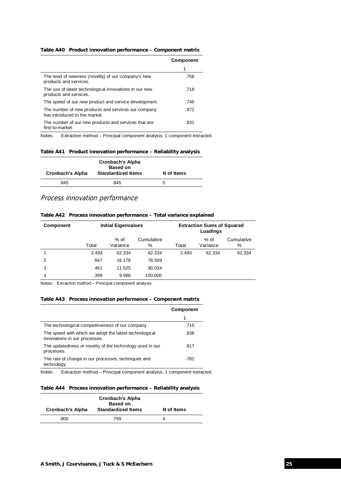| Table A40 Product innovation performance – Component matrix |  |
|-------------------------------------------------------------|--|
|                                                             |  |

|                                                                                      | <b>Component</b> |
|--------------------------------------------------------------------------------------|------------------|
|                                                                                      |                  |
| The level of newness (novelty) of our company's new<br>products and services.        | .758             |
| The use of latest technological innovations in our new<br>products and services.     | .718             |
| The speed of our new product and service development.                                | .746             |
| The number of new products and services our company<br>has introduced to the market. | .872             |
| The number of our new products and services that are<br>first-to-market.             | .831             |

Notes: Extraction method – Principal component analysis, 1 component extracted.

#### **Table A41 Product innovation performance – Reliability analysis**

| Cronbach's Alpha | <b>Cronbach's Alpha</b><br><b>Based on</b><br><b>Standardized Items</b> | N of Items |
|------------------|-------------------------------------------------------------------------|------------|
| .845             | .845                                                                    | .5         |

## Process innovation performance

| Table A42 Process innovation performance – Total variance explained |  |  |  |  |  |  |
|---------------------------------------------------------------------|--|--|--|--|--|--|
|---------------------------------------------------------------------|--|--|--|--|--|--|

| <b>Component</b> | <b>Initial Eigenvalues</b> |                    |                 |       | <b>Extraction Sums of Squared</b><br>Loadings |                 |
|------------------|----------------------------|--------------------|-----------------|-------|-----------------------------------------------|-----------------|
|                  | Total                      | $%$ of<br>Variance | Cumulative<br>% | Total | $%$ of<br>Variance                            | Cumulative<br>% |
|                  | 2.493                      | 62.334             | 62.334          | 2.493 | 62.334                                        | 62.334          |
| $\mathcal{P}$    | .647                       | 16.176             | 78.509          |       |                                               |                 |
| 3                | .461                       | 11.525             | 90.034          |       |                                               |                 |
| 4                | .399                       | 9.966              | 100.000         |       |                                               |                 |

Notes: Extraction method – Principal component analysis.

### **Table A43 Process innovation performance – Component matrix**

|                                                                                         | <b>Component</b> |
|-----------------------------------------------------------------------------------------|------------------|
|                                                                                         |                  |
| The technological competitiveness of our company                                        | .715             |
| The speed with which we adopt the latest technological<br>innovations in our processes. | .838             |
| The updatedness or novelty of the technology used in our<br>processes.                  | .817             |
| The rate of change in our processes, techniques and<br>technology.                      | .782             |

Notes: Extraction method – Principal component analysis, 1 component extracted.

#### **Table A44 Process innovation performance – Reliability analysis**

| <b>Cronbach's Alpha</b> | <b>Cronbach's Alpha</b><br><b>Based on</b><br><b>Standardized Items</b> | N of Items |
|-------------------------|-------------------------------------------------------------------------|------------|
| .800                    | .799                                                                    |            |
|                         |                                                                         |            |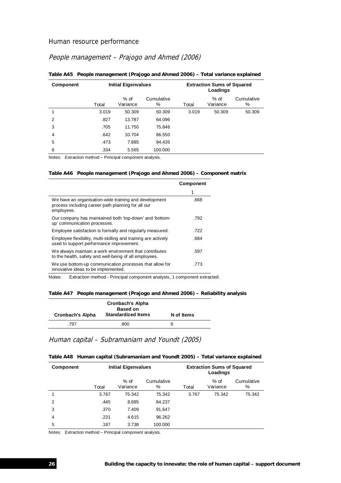## Human resource performance

## People management – Prajogo and Ahmed (2006)

| <b>Component</b> |       | <b>Initial Eigenvalues</b> |                 |       | <b>Extraction Sums of Squared</b><br>Loadings |                 |  |  |
|------------------|-------|----------------------------|-----------------|-------|-----------------------------------------------|-----------------|--|--|
|                  | Total | % of<br>Variance           | Cumulative<br>% | Total | % of<br>Variance                              | Cumulative<br>% |  |  |
|                  | 3.019 | 50.309                     | 50.309          | 3.019 | 50.309                                        | 50.309          |  |  |
| 2                | .827  | 13.787                     | 64.096          |       |                                               |                 |  |  |
| 3                | .705  | 11.750                     | 75.846          |       |                                               |                 |  |  |
| 4                | .642  | 10.704                     | 86.550          |       |                                               |                 |  |  |
| 5                | .473  | 7.885                      | 94.435          |       |                                               |                 |  |  |
| 6                | .334  | 5.565                      | 100.000         |       |                                               |                 |  |  |

#### **Table A45 People management (Prajogo and Ahmed 2006) – Total variance explained**

Notes: Extraction method – Principal component analysis.

#### **Table A46 People management (Prajogo and Ahmed 2006) – Component matrix**

|                                                                                                                           | <b>Component</b> |
|---------------------------------------------------------------------------------------------------------------------------|------------------|
|                                                                                                                           |                  |
| We have an organisation-wide training and development<br>process including career path planning for all our<br>employees. | .668             |
| Our company has maintained both 'top-down' and 'bottom-<br>up' communication processes.                                   | .792             |
| Employee satisfaction is formally and regularly measured.                                                                 | .722             |
| Employee flexibility, multi-skilling and training are actively<br>used to support performance improvement.                | .684             |
| We always maintain a work environment that contributes<br>to the health, safety and well-being of all employees.          | .597             |
| We use bottom-up communication processes that allow for<br>innovative ideas to be implemented.                            | .773             |

Notes: Extraction method - Principal component analysis, 1 component extracted.

#### **Table A47 People management (Prajogo and Ahmed 2006) – Reliability analysis**

| Cronbach's Alpha | <b>Cronbach's Alpha</b><br><b>Based on</b><br><b>Standardized Items</b> | N of Items |
|------------------|-------------------------------------------------------------------------|------------|
| .797             | .800                                                                    | 6          |

## Human capital – Subramaniam and Youndt (2005)

|  | Table A48 Human capital (Subramaniam and Youndt 2005) - Total variance explained |  |  |  |  |  |
|--|----------------------------------------------------------------------------------|--|--|--|--|--|
|--|----------------------------------------------------------------------------------|--|--|--|--|--|

| Component     | <b>Initial Eigenvalues</b> |                    | <b>Extraction Sums of Squared</b><br>Loadings |       |                    |                 |
|---------------|----------------------------|--------------------|-----------------------------------------------|-------|--------------------|-----------------|
|               | Total                      | $%$ of<br>Variance | Cumulative<br>%                               | Total | $%$ of<br>Variance | Cumulative<br>% |
|               | 3.767                      | 75.342             | 75.342                                        | 3.767 | 75.342             | 75.342          |
| $\mathcal{P}$ | .445                       | 8.895              | 84.237                                        |       |                    |                 |
| 3             | .370                       | 7.409              | 91.647                                        |       |                    |                 |
| 4             | .231                       | 4.615              | 96.262                                        |       |                    |                 |
| 5             | .187                       | 3.738              | 100.000                                       |       |                    |                 |

Notes: Extraction method – Principal component analysis.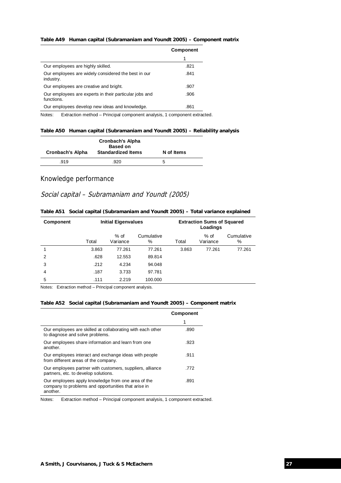#### **Table A49 Human capital (Subramaniam and Youndt 2005) – Component matrix**

|                                                                      | <b>Component</b> |
|----------------------------------------------------------------------|------------------|
|                                                                      |                  |
| Our employees are highly skilled.                                    | .821             |
| Our employees are widely considered the best in our<br>industry.     | .841             |
| Our employees are creative and bright.                               | .907             |
| Our employees are experts in their particular jobs and<br>functions. | .906             |
| Our employees develop new ideas and knowledge.                       | .861             |

Notes: Extraction method – Principal component analysis, 1 component extracted.

#### **Table A50 Human capital (Subramaniam and Youndt 2005) – Reliability analysis**

| <b>Cronbach's Alpha</b> | <b>Cronbach's Alpha</b><br><b>Based on</b><br><b>Standardized Items</b> | N of Items |
|-------------------------|-------------------------------------------------------------------------|------------|
| .919                    | .920                                                                    | 5          |

### Knowledge performance

## Social capital – Subramaniam and Youndt (2005)

#### **Table A51 Social capital (Subramaniam and Youndt 2005) – Total variance explained**

| <b>Initial Eigenvalues</b> |                    |                 | Loadings |                    |                                   |
|----------------------------|--------------------|-----------------|----------|--------------------|-----------------------------------|
| Total                      | $%$ of<br>Variance | Cumulative<br>% | Total    | $%$ of<br>Variance | Cumulative<br>%                   |
| 3.863                      | 77.261             | 77.261          | 3.863    | 77.261             | 77.261                            |
| .628                       | 12.553             | 89.814          |          |                    |                                   |
| .212                       | 4.234              | 94.048          |          |                    |                                   |
| .187                       | 3.733              | 97.781          |          |                    |                                   |
| .111                       | 2.219              | 100.000         |          |                    |                                   |
|                            |                    |                 |          |                    | <b>Extraction Sums of Squared</b> |

Notes: Extraction method – Principal component analysis.

#### **Table A52 Social capital (Subramaniam and Youndt 2005) – Component matrix**

|                                                                                                                       | <b>Component</b> |
|-----------------------------------------------------------------------------------------------------------------------|------------------|
|                                                                                                                       |                  |
| Our employees are skilled at collaborating with each other<br>to diagnose and solve problems.                         | .890             |
| Our employees share information and learn from one<br>another.                                                        | .923             |
| Our employees interact and exchange ideas with people<br>from different areas of the company.                         | .911             |
| Our employees partner with customers, suppliers, alliance<br>partners, etc. to develop solutions.                     | .772             |
| Our employees apply knowledge from one area of the<br>company to problems and opportunities that arise in<br>another. | .891             |

Notes: Extraction method – Principal component analysis, 1 component extracted.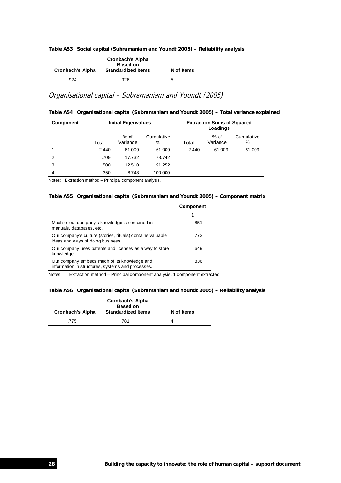|  |  | Table A53 Social capital (Subramaniam and Youndt 2005) – Reliability analysis |  |  |  |  |
|--|--|-------------------------------------------------------------------------------|--|--|--|--|
|--|--|-------------------------------------------------------------------------------|--|--|--|--|

| Cronbach's Alpha | <b>Cronbach's Alpha</b><br><b>Based on</b><br><b>Standardized Items</b> | N of Items |
|------------------|-------------------------------------------------------------------------|------------|
| .924             | .926                                                                    |            |

## Organisational capital – Subramaniam and Youndt (2005)

|  |  | Table A54 Organisational capital (Subramaniam and Youndt 2005) – Total variance explained |  |  |  |
|--|--|-------------------------------------------------------------------------------------------|--|--|--|
|--|--|-------------------------------------------------------------------------------------------|--|--|--|

| <b>Component</b> | <b>Initial Eigenvalues</b> |                    |                 | <b>Extraction Sums of Squared</b><br>Loadings |                    |                 |
|------------------|----------------------------|--------------------|-----------------|-----------------------------------------------|--------------------|-----------------|
|                  | Total                      | $%$ of<br>Variance | Cumulative<br>% | Total                                         | $%$ of<br>Variance | Cumulative<br>% |
|                  | 2.440                      | 61.009             | 61.009          | 2.440                                         | 61.009             | 61.009          |
| $\mathcal{P}$    | .709                       | 17.732             | 78.742          |                                               |                    |                 |
| 3                | .500                       | 12.510             | 91.252          |                                               |                    |                 |
| 4                | .350                       | 8.748              | 100.000         |                                               |                    |                 |

Notes: Extraction method – Principal component analysis.

#### **Table A55 Organisational capital (Subramaniam and Youndt 2005) – Component matrix**

|                                                                                                   | <b>Component</b> |
|---------------------------------------------------------------------------------------------------|------------------|
|                                                                                                   |                  |
| Much of our company's knowledge is contained in<br>manuals, databases, etc.                       | .851             |
| Our company's culture (stories, rituals) contains valuable<br>ideas and ways of doing business.   | .773             |
| Our company uses patents and licenses as a way to store<br>knowledge.                             | .649             |
| Our company embeds much of its knowledge and<br>information in structures, systems and processes. | .836             |

Notes: Extraction method – Principal component analysis, 1 component extracted.

#### **Table A56 Organisational capital (Subramaniam and Youndt 2005) – Reliability analysis**

| Cronbach's Alpha | <b>Cronbach's Alpha</b><br><b>Based on</b><br><b>Standardized Items</b> | N of Items |
|------------------|-------------------------------------------------------------------------|------------|
| .775             | .781                                                                    |            |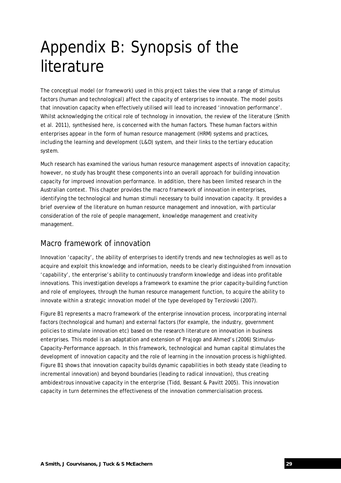# Appendix B: Synopsis of the literature

The conceptual model (or framework) used in this project takes the view that a range of stimulus factors (human and technological) affect the capacity of enterprises to innovate. The model posits that innovation capacity when effectively utilised will lead to increased 'innovation performance'. Whilst acknowledging the critical role of technology in innovation, the review of the literature (Smith et al. 2011), synthesised here, is concerned with the human factors. These human factors within enterprises appear in the form of human resource management (HRM) systems and practices, including the learning and development (L&D) system, and their links to the tertiary education system.

Much research has examined the various human resource management aspects of innovation capacity; however, no study has brought these components into an overall approach for building innovation capacity for improved innovation performance. In addition, there has been limited research in the Australian context. This chapter provides the macro framework of innovation in enterprises, identifying the technological and human stimuli necessary to build innovation capacity. It provides a brief overview of the literature on human resource management and innovation, with particular consideration of the role of people management, knowledge management and creativity management.

## Macro framework of innovation

Innovation 'capacity', the ability of enterprises to identify trends and new technologies as well as to acquire and exploit this knowledge and information, needs to be clearly distinguished from innovation 'capability', the enterprise's ability to continuously transform knowledge and ideas into profitable innovations. This investigation develops a framework to examine the prior capacity-building function and role of employees, through the human resource management function, to acquire the ability to innovate within a strategic innovation model of the type developed by Terziovski (2007).

Figure B1 represents a macro framework of the enterprise innovation process, incorporating internal factors (technological and human) and external factors (for example, the industry, government policies to stimulate innovation etc) based on the research literature on innovation in business enterprises. This model is an adaptation and extension of Prajogo and Ahmed's (2006) Stimulus-Capacity-Performance approach. In this framework, technological and human capital stimulates the development of innovation capacity and the role of learning in the innovation process is highlighted. Figure B1 shows that innovation capacity builds dynamic capabilities in both steady state (leading to incremental innovation) and beyond boundaries (leading to radical innovation), thus creating ambidextrous innovative capacity in the enterprise (Tidd, Bessant & Pavitt 2005). This innovation capacity in turn determines the effectiveness of the innovation commercialisation process.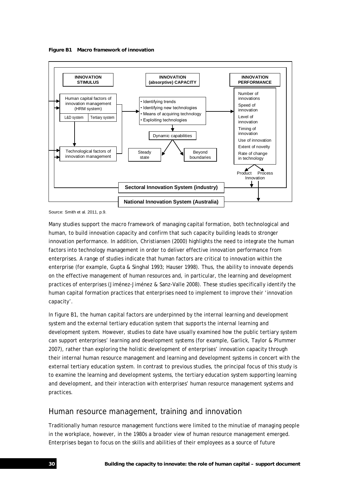



Source: Smith et al. 2011, p.9.

Many studies support the macro framework of managing capital formation, both technological and human, to build innovation capacity and confirm that such capacity building leads to stronger innovation performance. In addition, Christiansen (2000) highlights the need to integrate the human factors into technology management in order to deliver effective innovation performance from enterprises. A range of studies indicate that human factors are critical to innovation within the enterprise (for example, Gupta & Singhal 1993; Hauser 1998). Thus, the ability to innovate depends on the effective management of human resources and, in particular, the learning and development practices of enterprises (Jiménez-Jiménez & Sanz-Valle 2008). These studies specifically identify the human capital formation practices that enterprises need to implement to improve their 'innovation capacity'.

In figure B1, the human capital factors are underpinned by the internal learning and development system and the external tertiary education system that supports the internal learning and development system. However, studies to date have usually examined how the public tertiary system can support enterprises' learning and development systems (for example, Garlick, Taylor & Plummer 2007), rather than exploring the holistic development of enterprises' innovation capacity through their internal human resource management and learning and development systems in concert with the external tertiary education system. In contrast to previous studies, the principal focus of this study is to examine the learning and development systems, the tertiary education system supporting learning and development, and their interaction with enterprises' human resource management systems and practices.

## Human resource management, training and innovation

Traditionally human resource management functions were limited to the minutiae of managing people in the workplace, however, in the 1980s a broader view of human resource management emerged. Enterprises began to focus on the skills and abilities of their employees as a source of future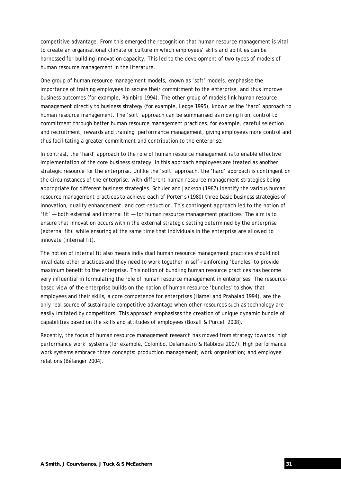competitive advantage. From this emerged the recognition that human resource management is vital to create an organisational climate or culture in which employees' skills and abilities can be harnessed for building innovation capacity. This led to the development of two types of models of human resource management in the literature.

One group of human resource management models, known as 'soft' models, emphasise the importance of training employees to secure their commitment to the enterprise, and thus improve business outcomes (for example, Rainbird 1994). The other group of models link human resource management directly to business strategy (for example, Legge 1995), known as the 'hard' approach to human resource management. The 'soft' approach can be summarised as moving from control to commitment through better human resource management practices, for example, careful selection and recruitment, rewards and training, performance management, giving employees more control and thus facilitating a greater commitment and contribution to the enterprise.

In contrast, the 'hard' approach to the role of human resource management is to enable effective implementation of the core business strategy. In this approach employees are treated as another strategic resource for the enterprise. Unlike the 'soft' approach, the 'hard' approach is contingent on the circumstances of the enterprise, with different human resource management strategies being appropriate for different business strategies. Schuler and Jackson (1987) identify the various human resource management practices to achieve each of Porter's (1980) three basic business strategies of innovation, quality enhancement, and cost-reduction. This contingent approach led to the notion of 'fit' — both external and internal fit — for human resource management practices. The aim is to ensure that innovation occurs within the external strategic setting determined by the enterprise (external fit), while ensuring at the same time that individuals in the enterprise are allowed to innovate (internal fit).

The notion of internal fit also means individual human resource management practices should not invalidate other practices and they need to work together in self-reinforcing 'bundles' to provide maximum benefit to the enterprise. This notion of bundling human resource practices has become very influential in formulating the role of human resource management in enterprises. The resourcebased view of the enterprise builds on the notion of human resource 'bundles' to show that employees and their skills, a core competence for enterprises (Hamel and Prahalad 1994), are the only real source of sustainable competitive advantage when other resources such as technology are easily imitated by competitors. This approach emphasises the creation of unique dynamic bundle of capabilities based on the skills and attitudes of employees (Boxall & Purcell 2008).

Recently, the focus of human resource management research has moved from strategy towards 'high performance work' systems (for example, Colombo, Delamastro & Rabbiosi 2007). High performance work systems embrace three concepts: production management; work organisation; and employee relations (Bélanger 2004).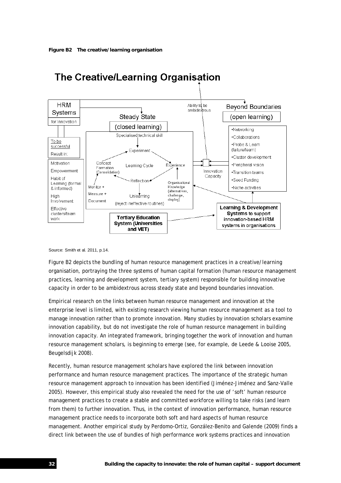

# The Creative/Learning Organisation

Source: Smith et al. 2011, p.14.

Figure B2 depicts the bundling of human resource management practices in a creative/learning organisation, portraying the three systems of human capital formation (human resource management practices, learning and development system, tertiary system) responsible for building innovative capacity in order to be ambidextrous across steady state and beyond boundaries innovation.

Empirical research on the links between human resource management and innovation at the enterprise level is limited, with existing research viewing human resource management as a tool to manage innovation rather than to promote innovation. Many studies by innovation scholars examine innovation capability, but do not investigate the role of human resource management in building innovation capacity. An integrated framework, bringing together the work of innovation and human resource management scholars, is beginning to emerge (see, for example, de Leede & Looise 2005, Beugelsdijk 2008).

Recently, human resource management scholars have explored the link between innovation performance and human resource management practices. The importance of the strategic human resource management approach to innovation has been identified (Jiménez-Jiménez and Sanz-Valle 2005). However, this empirical study also revealed the need for the use of 'soft' human resource management practices to create a stable and committed workforce willing to take risks (and learn from them) to further innovation. Thus, in the context of innovation performance, human resource management practice needs to incorporate both soft and hard aspects of human resource management. Another empirical study by Perdomo-Ortiz, González-Benito and Galende (2009) finds a direct link between the use of bundles of high performance work systems practices and innovation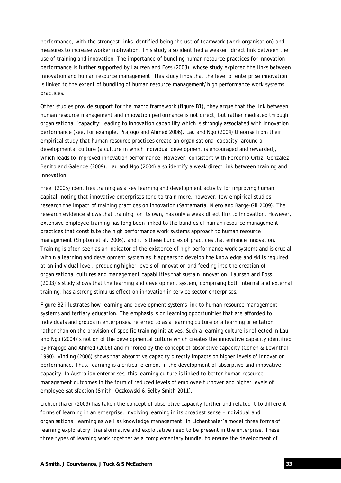performance, with the strongest links identified being the use of teamwork (work organisation) and measures to increase worker motivation. This study also identified a weaker, direct link between the use of training and innovation. The importance of bundling human resource practices for innovation performance is further supported by Laursen and Foss (2003), whose study explored the links between innovation and human resource management. This study finds that the level of enterprise innovation is linked to the extent of bundling of human resource management/high performance work systems practices.

Other studies provide support for the macro framework (figure B1), they argue that the link between human resource management and innovation performance is not direct, but rather mediated through organisational 'capacity' leading to innovation capability which is strongly associated with innovation performance (see, for example, Prajogo and Ahmed 2006). Lau and Ngo (2004) theorise from their empirical study that human resource practices create an organisational capacity, around a developmental culture (a culture in which individual development is encouraged and rewarded), which leads to improved innovation performance. However, consistent with Perdomo-Ortiz, González-Benito and Galende (2009), Lau and Ngo (2004) also identify a weak direct link between training and innovation.

Freel (2005) identifies training as a key learning and development activity for improving human capital, noting that innovative enterprises tend to train more, however, few empirical studies research the impact of training practices on innovation (Santamaría, Nieto and Barge-Gil 2009). The research evidence shows that training, on its own, has only a weak direct link to innovation. However, extensive employee training has long been linked to the bundles of human resource management practices that constitute the high performance work systems approach to human resource management (Shipton et al. 2006), and it is these bundles of practices that enhance innovation. Training is often seen as an indicator of the existence of high performance work systems and is crucial within a learning and development system as it appears to develop the knowledge and skills required at an individual level, producing higher levels of innovation and feeding into the creation of organisational cultures and management capabilities that sustain innovation. Laursen and Foss (2003)'s study shows that the learning and development system, comprising both internal and external training, has a strong stimulus effect on innovation in service sector enterprises.

Figure B2 illustrates how learning and development systems link to human resource management systems and tertiary education. The emphasis is on learning opportunities that are afforded to individuals and groups in enterprises, referred to as a learning culture or a learning orientation, rather than on the provision of specific training initiatives. Such a learning culture is reflected in Lau and Ngo (2004)'s notion of the developmental culture which creates the innovative capacity identified by Prajogo and Ahmed (2006) and mirrored by the concept of absorptive capacity (Cohen & Levinthal 1990). Vinding (2006) shows that absorptive capacity directly impacts on higher levels of innovation performance. Thus, learning is a critical element in the development of absorptive and innovative capacity. In Australian enterprises, this learning culture is linked to better human resource management outcomes in the form of reduced levels of employee turnover and higher levels of employee satisfaction (Smith, Oczkowski & Selby Smith 2011).

Lichtenthaler (2009) has taken the concept of absorptive capacity further and related it to different forms of learning in an enterprise, involving learning in its broadest sense – individual and organisational learning as well as knowledge management. In Lichenthaler's model three forms of learning exploratory, transformative and exploitative need to be present in the enterprise. These three types of learning work together as a complementary bundle, to ensure the development of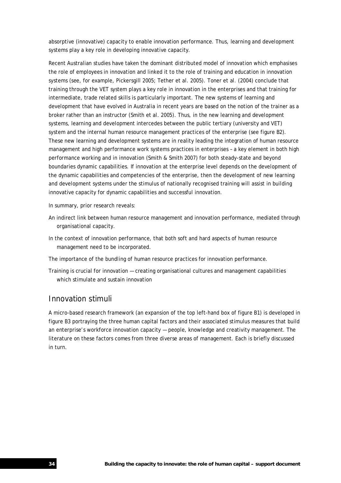absorptive (innovative) capacity to enable innovation performance. Thus, learning and development systems play a key role in developing innovative capacity.

Recent Australian studies have taken the dominant distributed model of innovation which emphasises the role of employees in innovation and linked it to the role of training and education in innovation systems (see, for example, Pickersgill 2005; Tether et al. 2005). Toner et al. (2004) conclude that training through the VET system plays a key role in innovation in the enterprises and that training for intermediate, trade related skills is particularly important. The new systems of learning and development that have evolved in Australia in recent years are based on the notion of the trainer as a broker rather than an instructor (Smith et al. 2005). Thus, in the new learning and development systems, learning and development intercedes between the public tertiary (university and VET) system and the internal human resource management practices of the enterprise (see figure B2). These new learning and development systems are in reality leading the integration of human resource management and high performance work systems practices in enterprises – a key element in both high performance working and in innovation (Smith & Smith 2007) for both steady-state and beyond boundaries dynamic capabilities. If innovation at the enterprise level depends on the development of the dynamic capabilities and competencies of the enterprise, then the development of new learning and development systems under the stimulus of nationally recognised training will assist in building innovative capacity for dynamic capabilities and successful innovation.

In summary, prior research reveals:

- An indirect link between human resource management and innovation performance, mediated through organisational capacity.
- In the context of innovation performance, that both soft and hard aspects of human resource management need to be incorporated.

The importance of the bundling of human resource practices for innovation performance.

Training is crucial for innovation — creating organisational cultures and management capabilities which stimulate and sustain innovation

## Innovation stimuli

A micro-based research framework (an expansion of the top left-hand box of figure B1) is developed in figure B3 portraying the three human capital factors and their associated stimulus measures that build an enterprise's workforce innovation capacity — people, knowledge and creativity management. The literature on these factors comes from three diverse areas of management. Each is briefly discussed in turn.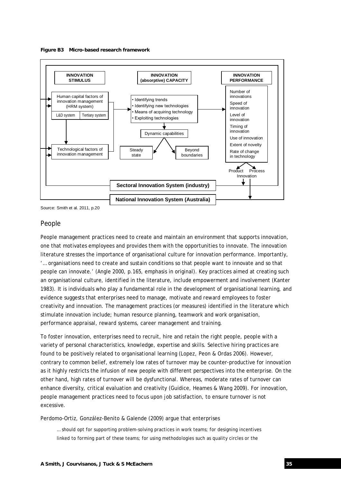



Source: Smith et al. 2011, p.20

## People

People management practices need to create and maintain an environment that supports innovation, one that motivates employees and provides them with the opportunities to innovate. The innovation literature stresses the importance of organisational culture for innovation performance. Importantly, '… organisations need to create and sustain conditions so that people want to innovate and so that people *can* innovate.' (Angle 2000, p.165, emphasis in original). Key practices aimed at creating such an organisational culture, identified in the literature, include empowerment and involvement (Kanter 1983). It is individuals who play a fundamental role in the development of organisational learning, and evidence suggests that enterprises need to manage, motivate and reward employees to foster creativity and innovation. The management practices (or measures) identified in the literature which stimulate innovation include; human resource planning, teamwork and work organisation, performance appraisal, reward systems, career management and training.

To foster innovation, enterprises need to recruit, hire and retain the right people, people with a variety of personal characteristics, knowledge, expertise and skills. Selective hiring practices are found to be positively related to organisational learning (Lopez, Peon & Ordas 2006). However, contrary to common belief, extremely low rates of turnover may be counter-productive for innovation as it highly restricts the infusion of new people with different perspectives into the enterprise. On the other hand, high rates of turnover will be dysfunctional. Whereas, moderate rates of turnover can enhance diversity, critical evaluation and creativity (Guidice, Heames & Wang 2009). For innovation, people management practices need to focus upon job satisfaction, to ensure turnover is not excessive.

Perdomo-Ortiz, González-Benito & Galende (2009) argue that enterprises

… should opt for supporting problem-solving practices in work teams; for designing incentives linked to forming part of these teams; for using methodologies such as quality circles or the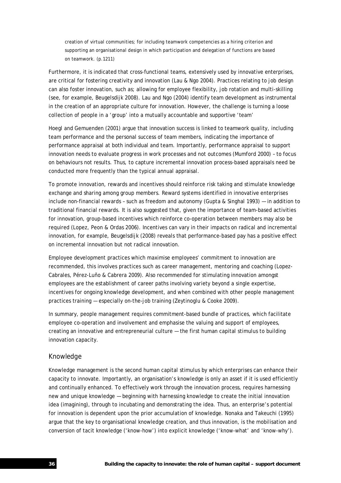creation of virtual communities; for including teamwork competencies as a hiring criterion and supporting an organisational design in which participation and delegation of functions are based on teamwork. (p.1211)

Furthermore, it is indicated that cross-functional teams, extensively used by innovative enterprises, are critical for fostering creativity and innovation (Lau & Ngo 2004). Practices relating to job design can also foster innovation, such as; allowing for employee flexibility, job rotation and multi-skilling (see, for example, Beugelsdijk 2008). Lau and Ngo (2004) identify team development as instrumental in the creation of an appropriate culture for innovation. However, the challenge is turning a loose collection of people in a 'group' into a mutually accountable and supportive 'team'

Hoegl and Gemuenden (2001) argue that innovation success is linked to teamwork quality, including team performance and the personal success of team members, indicating the importance of performance appraisal at both individual and team. Importantly, performance appraisal to support innovation needs to evaluate progress in work processes and not outcomes (Mumford 2000) – to focus on behaviours not results. Thus, to capture incremental innovation process-based appraisals need be conducted more frequently than the typical annual appraisal.

To promote innovation, rewards and incentives should reinforce risk taking and stimulate knowledge exchange and sharing among group members. Reward systems identified in innovative enterprises include non-financial rewards – such as freedom and autonomy (Gupta & Singhal 1993) — in addition to traditional financial rewards. It is also suggested that, given the importance of team-based activities for innovation, group-based incentives which reinforce co-operation between members may also be required (Lopez, Peon & Ordas 2006). Incentives can vary in their impacts on radical and incremental innovation, for example, Beugelsdijk (2008) reveals that performance-based pay has a positive effect on incremental innovation but not radical innovation.

Employee development practices which maximise employees' commitment to innovation are recommended, this involves practices such as career management, mentoring and coaching (Lopez-Cabrales, Pérez-Luño & Cabrera 2009). Also recommended for stimulating innovation amongst employees are the establishment of career paths involving variety beyond a single expertise, incentives for ongoing knowledge development, and when combined with other people management practices training — especially on-the-job training (Zeytinoglu & Cooke 2009).

In summary, people management requires commitment-based bundle of practices, which facilitate employee co-operation and involvement and emphasise the valuing and support of employees, creating an innovative and entrepreneurial culture — the first human capital stimulus to building innovation capacity.

## Knowledge

Knowledge management is the second human capital stimulus by which enterprises can enhance their capacity to innovate. Importantly, an organisation's knowledge is only an asset if it is used efficiently and continually enhanced. To effectively work through the innovation process, requires harnessing new and unique knowledge — beginning with harnessing knowledge to create the initial innovation idea (imagining), through to incubating and demonstrating the idea. Thus, an enterprise's potential for innovation is dependent upon the prior accumulation of knowledge. Nonaka and Takeuchi (1995) argue that the key to organisational knowledge creation, and thus innovation, is the mobilisation and conversion of tacit knowledge ('know-how') into explicit knowledge ('know-what' and 'know-why').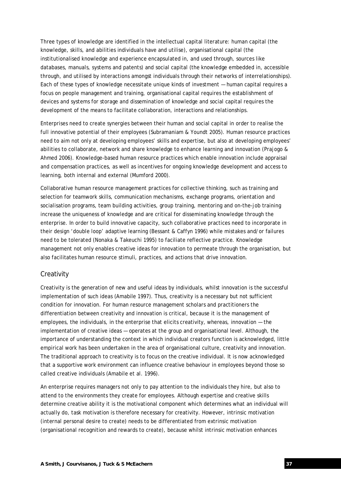Three types of knowledge are identified in the intellectual capital literature: human capital (the knowledge, skills, and abilities individuals have and utilise), organisational capital (the institutionalised knowledge and experience encapsulated in, and used through, sources like databases, manuals, systems and patents) and social capital (the knowledge embedded in, accessible through, and utilised by interactions amongst individuals through their networks of interrelationships). Each of these types of knowledge necessitate unique kinds of investment — human capital requires a focus on people management and training, organisational capital requires the establishment of devices and systems for storage and dissemination of knowledge and social capital requires the development of the means to facilitate collaboration, interactions and relationships.

Enterprises need to create synergies between their human and social capital in order to realise the full innovative potential of their employees (Subramaniam & Youndt 2005). Human resource practices need to aim not only at developing employees' skills and expertise, but also at developing employees' abilities to collaborate, network and share knowledge to enhance learning and innovation (Prajogo & Ahmed 2006). Knowledge-based human resource practices which enable innovation include appraisal and compensation practices, as well as incentives for ongoing knowledge development and access to learning, both internal and external (Mumford 2000).

Collaborative human resource management practices for collective thinking, such as training and selection for teamwork skills, communication mechanisms, exchange programs, orientation and socialisation programs, team building activities, group training, mentoring and on-the-job training increase the uniqueness of knowledge and are critical for disseminating knowledge through the enterprise. In order to build innovative capacity, such collaborative practices need to incorporate in their design 'double loop' adaptive learning (Bessant & Caffyn 1996) while mistakes and/or failures need to be tolerated (Nonaka & Takeuchi 1995) to faciliate reflective practice. Knowledge management not only enables creative ideas for innovation to permeate through the organisation, but also facilitates human resource stimuli, practices, and actions that drive innovation.

## **Creativity**

Creativity is the generation of new and useful ideas by individuals, whilst innovation is the successful implementation of such ideas (Amabile 1997). Thus, creativity is a necessary but not sufficient condition for innovation. For human resource management scholars and practitioners the differentiation between creativity and innovation is critical, because it is the management of employees, the individuals, in the enterprise that elicits creativity, whereas, innovation — the implementation of creative ideas — operates at the group and organisational level. Although, the importance of understanding the context in which individual creators function is acknowledged, little empirical work has been undertaken in the area of organisational culture, creativity and innovation. The traditional approach to creativity is to focus on the creative individual. It is now acknowledged that a supportive work environment can influence creative behaviour in employees beyond those so called creative individuals (Amabile et al. 1996).

An enterprise requires managers not only to pay attention to the individuals they hire, but also to attend to the environments they create for employees. Although expertise and creative skills determine creative ability it is the motivational component which determines what an individual will actually do, task motivation is therefore necessary for creativity. However, intrinsic motivation (internal personal desire to create) needs to be differentiated from extrinsic motivation (organisational recognition and rewards to create), because whilst intrinsic motivation enhances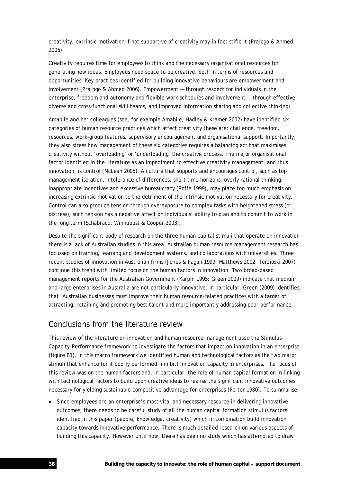creativity, extrinsic motivation if not supportive of creativity may in fact stifle it (Prajogo & Ahmed 2006).

Creativity requires time for employees to think and the necessary organisational resources for generating new ideas. Employees need space to be creative, both in terms of resources and opportunities. Key practices identified for building innovative behaviours are empowerment and involvement (Prajogo & Ahmed 2006). Empowerment — through respect for individuals in the enterprise, freedom and autonomy and flexible work schedules and involvement — through effective diverse and cross-functional skill teams, and improved information sharing and collective thinking).

Amabile and her colleagues (see, for example Amabile, Hadley & Kramer 2002) have identified six categories of human resource practices which affect creativity these are: challenge, freedom, resources, work-group features, supervisory encouragement and organisational support. Importantly, they also stress how management of these six categories requires a balancing act that maximises creativity without 'overloading' or 'underloading' the creative process. The major organisational factor identified in the literature as an impediment to effective creativity management, and thus innovation, is control (McLean 2005). A culture that supports and encourages control, such as top management isolation, intolerance of differences, short time horizons, overly rational thinking, inappropriate incentives and excessive bureaucracy (Roffe 1999), may place too much emphasis on increasing extrinsic motivation to the detriment of the intrinsic motivation necessary for creativity. Control can also produce tension through overexposure to complex tasks with heightened stress (or distress), such tension has a negative affect on individuals' ability to plan and to commit to work in the long term (Schabracq, Winnubust & Cooper 2003).

Despite the significant body of research on the three human capital stimuli that operate on innovation there is a lack of Australian studies in this area. Australian human resource management research has focussed on training, learning and development systems, and collaborations with universities. Three recent studies of innovation in Australian firms (Jones & Pagan 1999; Matthews 2002: Terzioski 2007) continue this trend with limited focus on the human factors in innovation. Two broad-based management reports for the Australian Government (Karpin 1995; Green 2009) indicate that medium and large enterprises in Australia are not particularly innovative. In particular, Green (2009) identifies that 'Australian businesses must improve their human resource-related practices with a target of attracting, retaining and promoting best talent and more importantly addressing poor performance.'

## Conclusions from the literature review

This review of the literature on innovation and human resource management used the Stimulus-Capacity-Performance framework to investigate the factors that impact on innovation in an enterprise (figure B1). In this macro framework we identified human and technological factors as the two major stimuli that enhance (or if poorly performed, inhibit) innovation capacity in enterprises. The focus of this review was on the human factors and, in particular, the role of human capital formation in linking with technological factors to build upon creative ideas to realise the significant innovative outcomes necessary for yielding sustainable competitive advantage for enterprises (Porter 1980). To summarise:

• Since employees are an enterprise's most vital and necessary resource in delivering innovative outcomes, there needs to be careful study of all the human capital formation stimulus factors identified in this paper (people, knowledge, creativity) which in combination build innovation capacity towards innovative performance. There is much detailed research on various aspects of building this capacity. However until now, there has been no study which has attempted to draw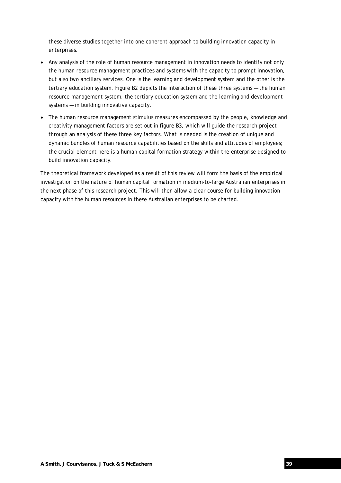these diverse studies together into one coherent approach to building innovation capacity in enterprises.

- Any analysis of the role of human resource management in innovation needs to identify not only the human resource management practices and systems with the capacity to prompt innovation, but also two ancillary services. One is the learning and development system and the other is the tertiary education system. Figure B2 depicts the interaction of these three systems — the human resource management system, the tertiary education system and the learning and development systems — in building innovative capacity.
- The human resource management stimulus measures encompassed by the people, knowledge and creativity management factors are set out in figure B3, which will guide the research project through an analysis of these three key factors. What is needed is the creation of unique and dynamic bundles of human resource capabilities based on the skills and attitudes of employees; the crucial element here is a human capital formation strategy within the enterprise designed to build innovation capacity.

The theoretical framework developed as a result of this review will form the basis of the empirical investigation on the nature of human capital formation in medium-to-large Australian enterprises in the next phase of this research project. This will then allow a clear course for building innovation capacity with the human resources in these Australian enterprises to be charted.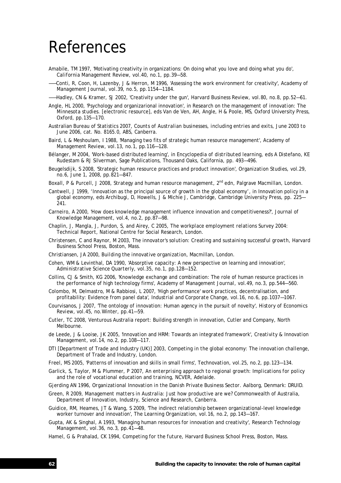# References

- Amabile, TM 1997, 'Motivating creativity in organizations: On doing what you love and doing what you do', *California Management Review,* vol.40, no.1, pp.39—58.
- ——Conti, R, Coon, H, Lazenby, J & Herron, M 1996, 'Assessing the work environment for creativity', *Academy of Management Journal,* vol.39, no.5, pp.1154—1184.
- ——Hadley, CN & Kramer, SJ 2002, 'Creativity under the gun', *Harvard Business Review,* vol.80, no.8, pp.52—61.
- Angle, HL 2000, 'Psychology and organizarional innovation', in *Research on the management of innovation: The Minnesota studies*. [electronic resource], eds Van de Ven, AH, Angle, H & Poole, MS, Oxford University Press, Oxford, pp.135—170.
- Australian Bureau of Statistics 2007, *Counts of Australian businesses, including entries and exits, June 2003 to June 2006,* cat. No. 8165.0, ABS, Canberra.
- Baird, L & Meshoulam, I 1988, 'Managing two fits of strategic human resource management', *Academy of Management Review,* vol.13, no.1, pp.116—128.
- Bélanger, M 2004, 'Work-based distributed learning', in *Encyclopedia of distributed learning,* eds A Distefano, KE Rudestam & RJ Silverman, Sage Publications, Thousand Oaks, California, pp. 493—496.
- Beugelsdijk, S 2008, 'Strategic human resource practices and product innovation', *Organization Studies,* vol.29, no.6, June 1, 2008, pp.821—847.
- Boxall, P & Purcell, J 2008, *Strategy and human resource management*, 2nd edn*,* Palgrave Macmillan, London.
- Cantwell, J 1999, 'Innovation as the principal source of growth in the global economy', in *Innovation policy in a global economy*, eds Archibugi, D, Howells, J & Michie J, Cambridge, Cambridge University Press, pp. 225— 241.
- Carneiro, A 2000, 'How does knowledge management influence innovation and competitiveness?', *Journal of Knowledge Management,* vol.4, no.2, pp.87—98.
- Chaplin, J, Mangla, J, Purdon, S, and Airey, C 2005, *The workplace employment relations Survey 2004: Technical Report,* National Centre for Social Research, London.
- Christensen, C and Raynor, M 2003, *The innovator's solution: Creating and sustaining successful growth*, Harvard Business School Press, Boston, Mass.
- Christiansen, JA 2000, *Building the innovative organization*, Macmillan, London.
- Cohen, WM & Levinthal, DA 1990, 'Absorptive capacity: A new perspective on learning and innovation', *Administrative Science Quarterly,* vol.35, no.1, pp.128—152.
- Collins, CJ & Smith, KG 2006, 'Knowledge exchange and combination: The role of human resource practices in the performance of high technology firms', *Academy of Management Journal,* vol.49, no.3, pp.544—560.
- Colombo, M, Delmastro, M & Rabbiosi, L 2007, 'High performance' work practices, decentralisation, and profitability: Evidence from panel data', *Industrial and Corporate Change,* vol.16, no.6, pp.1037—1067.
- Courvisanos, J 2007, 'The ontology of innovation: Human agency in the pursuit of novelty', *History of Economics Review,* vol.45, no.Winter, pp.41—59.
- Cutler, TC 2008, Venturous Australia report: Building strength in innovation, Cutler and Company, North Melbourne.
- de Leede, J & Looise, JK 2005, 'Innovation and HRM: Towards an integrated framework', *Creativity & Innovation Management,* vol.14, no.2, pp.108—117.
- DTI [Department of Trade and Industry (UK)] 2003, *Competing in the global economy: The innovation challenge*, Department of Trade and Industry, London.
- Freel, MS 2005, 'Patterns of innovation and skills in small firms', *Technovation,* vol.25, no.2, pp.123—134.
- Garlick, S, Taylor, M & Plummer, P 2007, *An enterprising approach to regional growth: Implications for policy and the role of vocational education and training*, NCVER, Adelaide.
- Gjerding AN 1996, *Organizational Innovation in the Danish Private Business Sector*. Aalborg, Denmark: DRUID.
- Green, R 2009, *Management matters in Australia: Just how productive are we?* Commonwealth of Australia, Department of Innovation, Industry, Science and Research, Canberra.
- Guidice, RM, Heames, JT & Wang, S 2009, 'The indirect relationship between organizational-level knowledge worker turnover and innovation', *The Learning Organization,* vol.16, no.2, pp.143—167.
- Gupta, AK & Singhal, A 1993, 'Managing human resources for innovation and creativity', *Research Technology Management,* vol.36, no.3, pp.41—48.
- Hamel, G & Prahalad, CK 1994, *Competing for the future*, Harvard Business School Press, Boston, Mass.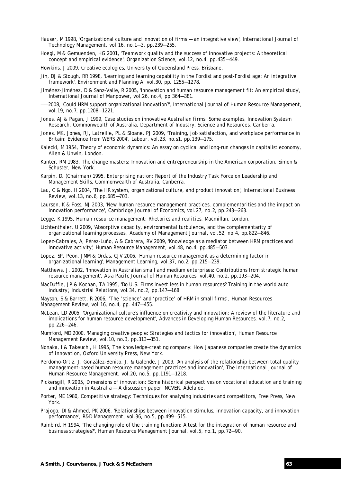- Hauser, M 1998, 'Organizational culture and innovation of firms an integrative view', *International Journal of Technology Management,* vol.16, no.1—3, pp.239—255.
- Hoegl, M & Gemuenden, HG 2001, 'Teamwork quality and the success of innovative projects: A theoretical concept and empirical evidence', *Organization Science,* vol.12, no.4, pp.435—449.
- Howkins, J 2009, *Creative ecologies*, University of Queensland Press, Brisbane.
- Jin, DJ & Stough, RR 1998, 'Learning and learning capability in the Fordist and post-Fordist age: An integrative framework', *Environment and Planning A*, vol.30, pp. 1255—1278.
- Jiménez-Jiménez, D & Sanz-Valle, R 2005, 'Innovation and human resource management fit: An empirical study', *International Journal of Manpower,* vol.26, no.4, pp.364—381.
- ——2008, 'Could HRM support organizational innovation?', *International Journal of Human Resource Management,* vol.19, no.7, pp.1208—1221.
- Jones, AJ & Pagan, J 1999, *Case studies on innovative Australian firms: Some examples*, Innovation Systesm Research, Commonwealth of Australia, Department of Industry, Science and Resources, Canberra.
- Jones, MK, Jones, RJ, Latreille, PL & Sloane, PJ 2009, 'Training, job satisfaction, and workplace performance in Britain: Evidence from WERS 2004', *Labour,* vol.23, no.s1, pp.139—175.
- Kalecki, M 1954, Theory of economic dynamics: An essay on cyclical and long-run changes in capitalist economy, Allen & Unwin, London.
- Kanter, RM 1983, *The change masters: Innovation and entrepreneurship in the American corporation*, Simon & Schuster, New York.
- Karpin, D. (Chairman) 1995, *Enterprising nation: Report of the Industry Task Force on Leadership and Management Skills*, Commonwealth of Australia, Canberra.
- Lau, C & Ngo, H 2004, 'The HR system, organizational culture, and product innovation', *International Business Review,* vol.13, no.6, pp.685—703.
- Laursen, K & Foss, NJ 2003, 'New human resource management practices, complementarities and the impact on innovation performance', *Cambridge Journal of Economics,* vol.27, no.2, pp.243—263.
- Legge, K 1995, *Human resource management: Rhetorics and realities*, Macmillan, London.
- Lichtenthaler, U 2009, 'Absorptive capacity, environmental turbulence, and the complementarity of organizational learning processes', *Academy of Management Journal,* vol.52, no.4, pp.822—846.
- Lopez-Cabrales, A, Pérez-Luño, A & Cabrera, RV 2009, 'Knowledge as a mediator between HRM practices and innovative activity', *Human Resource Management,* vol.48, no.4, pp.485—503.
- Lopez, SP, Peon, JMM & Ordas, CJV 2006, 'Human resource management as a determining factor in organizational learning', *Management Learning,* vol.37, no.2, pp.215—239.
- Matthews, J. 2002, 'Innovation in Australian small and medium enterprises: Contributions from strategic human resource management', *Asia Pacifc Journal of Human Resources*, vol.40, no.2, pp.193—204.
- MacDuffie, JP & Kochan, TA 1995, 'Do U.S. Firms invest less in human resources? Training in the world auto industry', *Industrial Relations,* vol.34, no.2, pp.147—168.

Mayson, S & Barrett, R 2006, 'The 'science' and 'practice' of HRM in small firms', *Human Resources Management Review,* vol.16, no.4, pp. 447—455.

- McLean, LD 2005, 'Organizational culture's influence on creativity and innovation: A review of the literature and implications for human resource development', *Advances in Developing Human Resources,* vol.7, no.2, pp.226—246.
- Mumford, MD 2000, 'Managing creative people: Strategies and tactics for innovation', *Human Resource Management Review,* vol.10, no.3, pp.313—351.
- Nonaka, I & Takeuchi, H 1995, *The knowledge-creating company: How Japanese companies create the dynamics of innovation*, Oxford University Press, New York.
- Perdomo-Ortiz, J, González-Benito, J, & Galende, J 2009, 'An analysis of the relationship between total quality management-based human resource management practices and innovation', *The International Journal of Human Resource Management,* vol.20, no.5, pp.1191—1218.
- Pickersgill, R 2005, *Dimensions of innovation: Some historical perspectives on vocational education and training and innovation in Australia — A discussion paper*, NCVER, Adelaide.
- Porter, ME 1980, *Competitive strategy: Techniques for analysing industries and competitors*, Free Press, New York.
- Prajogo, DI & Ahmed, PK 2006, 'Relationships between innovation stimulus, innovation capacity, and innovation performance', *R&D Management,* vol.36, no.5, pp.499—515.
- Rainbird, H 1994, 'The changing role of the training function: A test for the integration of human resource and business strategies?', *Human Resource Management Journal,* vol.5, no.1, pp.72—90.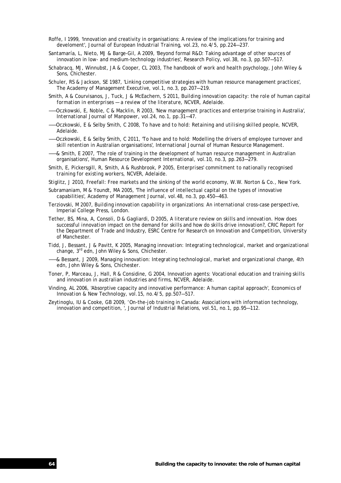- Roffe, I 1999, 'Innovation and creativity in organisations: A review of the implications for training and develoment', *Journal of European Industrial Training,* vol.23, no.4/5, pp.224—237.
- Santamaría, L, Nieto, MJ & Barge-Gil, A 2009, 'Beyond formal R&D: Taking advantage of other sources of innovation in low- and medium-technology industries', *Research Policy,* vol.38, no.3, pp.507—517.
- Schabracq, MJ, Winnubst, JA & Cooper, CL 2003, *The handbook of work and health psychology*, John Wiley & Sons, Chichester.
- Schuler, RS & Jackson, SE 1987, 'Linking competitive strategies with human resource management practices', *The Academy of Management Executive,* vol.1, no.3, pp.207—219.
- Smith, A & Courvisanos, J, Tuck, J & McEachern, S 2011, *Building innovation capacity: the role of human capital formation in enterprises — a review of the literature*, NCVER, Adelaide.
- ——Oczkowski, E, Noble, C & Macklin, R 2003, 'New management practices and enterprise training in Australia', *International Journal of Manpower,* vol.24, no.1, pp.31—47.
- ——Oczkowski, E & Selby Smith, C 2008, *To have and to hold: Retaining and utilising skilled people*, NCVER, Adelaide.
- ——Oczkowski, E & Selby Smith, C 2011, 'To have and to hold: Modelling the drivers of employee turnover and skill retention in Australian organisations', *International Journal of Human Resource Management*.
- ——& Smith, E 2007, 'The role of training in the development of human resource management in Australian organisations', *Human Resource Development International,* vol.10, no.3, pp.263—279.
- Smith, E, Pickersgill, R, Smith, A & Rushbrook, P 2005, *Enterprises' commitment to nationally recognised training for existing workers*, NCVER, Adelaide.
- Stiglitz, J 2010, Freefall: Free markets and the sinking of the world economy, W.W. Norton & Co., New York.
- Subramaniam, M & Youndt, MA 2005, 'The influence of intellectual capital on the types of innovative capabilities', *Academy of Management Journal,* vol.48, no.3, pp.450—463.
- Terziovski, M 2007, *Building innovation capability in organizations: An international cross-case perspective*, Imperial College Press, London.
- Tether, BS, Mina, A, Consoli, D & Gagliardi, D 2005, *A literature review on skills and innovation. How does successful innovation impact on the demand for skills and how do skills drive innovation?*, CRIC Report for the Department of Trade and Industry, ESRC Centre for Research on Innovation and Competition, University of Manchester.
- Tidd, J, Bessant, J & Pavitt, K 2005, *Managing innovation: Integrating technological, market and organizational change,* 3rd edn, John Wiley & Sons, Chichester.
- ——& Bessant, J 2009, *Managing innovation: Integrating technological, market and organizational change*, 4th edn, John Wiley & Sons, Chichester.
- Toner, P, Marceau, J, Hall, R & Considine, G 2004, *Innovation agents: Vocational education and training skills and innovation in australian industries and firms*, NCVER, Adelaide.
- Vinding, AL 2006, 'Absorptive capacity and innovative performance: A human capital approach', *Economics of Innovation & New Technology,* vol.15, no.4/5, pp.507—517.
- Zeytinoglu, IU & Cooke, GB 2009, 'On-the-job training in Canada: Associations with information technology, innovation and competition, ', *Journal of Industrial Relations,* vol.51, no.1, pp.95—112.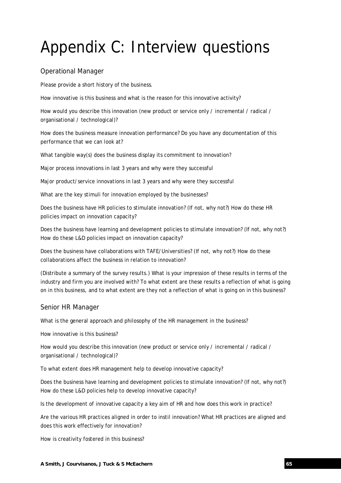# Appendix C: Interview questions

## Operational Manager

Please provide a short history of the business.

How innovative is this business and what is the reason for this innovative activity?

How would you describe this innovation (new product or service only / incremental / radical / organisational / technological)?

How does the business measure innovation performance? Do you have any documentation of this performance that we can look at?

What tangible way(s) does the business display its commitment to innovation?

Major process innovations in last 3 years and why were they successful

Major product/service innovations in last 3 years and why were they successful

What are the key stimuli for innovation employed by the businesses?

Does the business have HR policies to stimulate innovation? (If not, why not?) How do these HR policies impact on innovation capacity?

Does the business have learning and development policies to stimulate innovation? (If not, why not?) How do these L&D policies impact on innovation capacity?

Does the business have collaborations with TAFE/Universities? (If not, why not?) How do these collaborations affect the business in relation to innovation?

(Distribute a summary of the survey results.) What is your impression of these results in terms of the industry and firm you are involved with? To what extent are these results a reflection of what is going on in this business, and to what extent are they not a reflection of what is going on in this business?

## Senior HR Manager

What is the general approach and philosophy of the HR management in the business?

How innovative is this business?

How would you describe this innovation (new product or service only / incremental / radical / organisational / technological)?

To what extent does HR management help to develop innovative capacity?

Does the business have learning and development policies to stimulate innovation? (If not, why not?) How do these L&D policies help to develop innovative capacity?

Is the development of innovative capacity a key aim of HR and how does this work in practice?

Are the various HR practices aligned in order to instil innovation? What HR practices are aligned and does this work effectively for innovation?

How is creativity fostered in this business?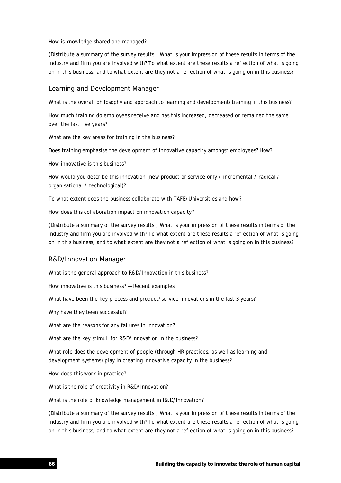How is knowledge shared and managed?

(Distribute a summary of the survey results.) What is your impression of these results in terms of the industry and firm you are involved with? To what extent are these results a reflection of what is going on in this business, and to what extent are they not a reflection of what is going on in this business?

## Learning and Development Manager

What is the overall philosophy and approach to learning and development/training in this business?

How much training do employees receive and has this increased, decreased or remained the same over the last five years?

What are the key areas for training in the business?

Does training emphasise the development of innovative capacity amongst employees? How?

How innovative is this business?

How would you describe this innovation (new product or service only / incremental / radical / organisational / technological)?

To what extent does the business collaborate with TAFE/Universities and how?

How does this collaboration impact on innovation capacity?

(Distribute a summary of the survey results.) What is your impression of these results in terms of the industry and firm you are involved with? To what extent are these results a reflection of what is going on in this business, and to what extent are they not a reflection of what is going on in this business?

## R&D/Innovation Manager

What is the general approach to R&D/Innovation in this business?

How innovative is this business? — Recent examples

What have been the key process and product/service innovations in the last 3 years?

Why have they been successful?

What are the reasons for any failures in innovation?

What are the key stimuli for R&D/Innovation in the business?

What role does the development of people (through HR practices, as well as learning and development systems) play in creating innovative capacity in the business?

How does this work in practice?

What is the role of creativity in R&D/Innovation?

What is the role of knowledge management in R&D/Innovation?

(Distribute a summary of the survey results.) What is your impression of these results in terms of the industry and firm you are involved with? To what extent are these results a reflection of what is going on in this business, and to what extent are they not a reflection of what is going on in this business?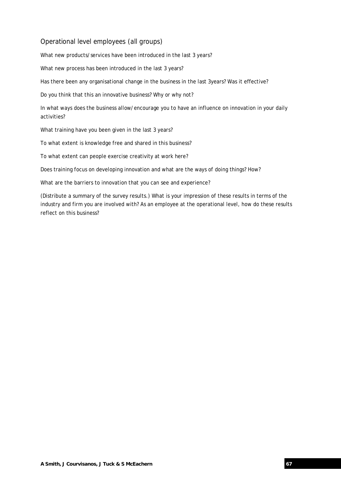## Operational level employees (all groups)

What new products/services have been introduced in the last 3 years?

What new process has been introduced in the last 3 years?

Has there been any organisational change in the business in the last 3years? Was it effective?

Do you think that this an innovative business? Why or why not?

In what ways does the business allow/encourage you to have an influence on innovation in your daily activities?

What training have you been given in the last 3 years?

To what extent is knowledge free and shared in this business?

To what extent can people exercise creativity at work here?

Does training focus on developing innovation and what are the ways of doing things? How?

What are the barriers to innovation that you can see and experience?

(Distribute a summary of the survey results.) What is your impression of these results in terms of the industry and firm you are involved with? As an employee at the operational level, how do these results reflect on this business?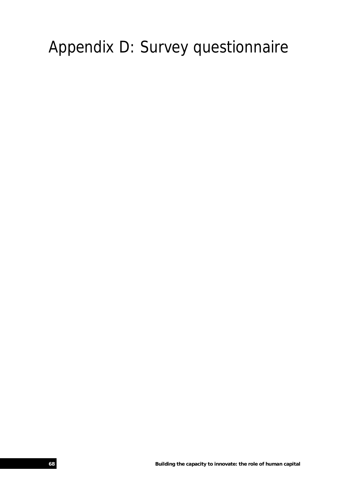# Appendix D: Survey questionnaire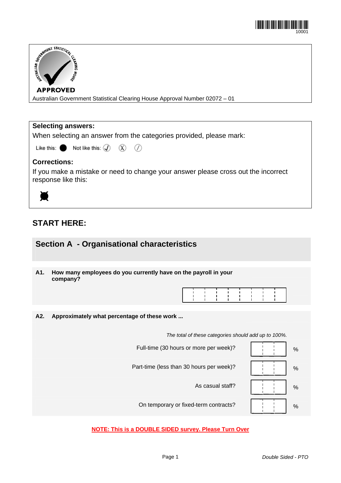| STATISTICAL STATISTICAL STATISTICAL<br><b>ENRING</b><br><sup>3500H</sup>    |
|-----------------------------------------------------------------------------|
| <b>APPROVED</b>                                                             |
| Australian Government Statistical Clearing House Approval Number 02072 - 01 |
|                                                                             |
|                                                                             |
| <b>Selecting answers:</b>                                                   |

When selecting an answer from the categories provided, please mark:

⋒

| Like this: |  | Not like this: $\mathcal{F}$ |  | R, |
|------------|--|------------------------------|--|----|
|------------|--|------------------------------|--|----|

## **Corrections:**

If you make a mistake or need to change your answer please cross out the incorrect response like this:



Õ

## **START HERE:**

## **Section A - Organisational characteristics**

**A1. How many employees do you currently have on the payroll in your company?** 

| 1 1 1 1 1 1 1 1 1 1 |  |  |  |  |
|---------------------|--|--|--|--|
| 1 1 1 1 1 1 1 1 1   |  |  |  |  |
| .                   |  |  |  |  |

**A2. Approximately what percentage of these work ...** 

*The total of these categories should add up to 100%.*



## **NOTE: This is a DOUBLE SIDED survey. Please Turn Over**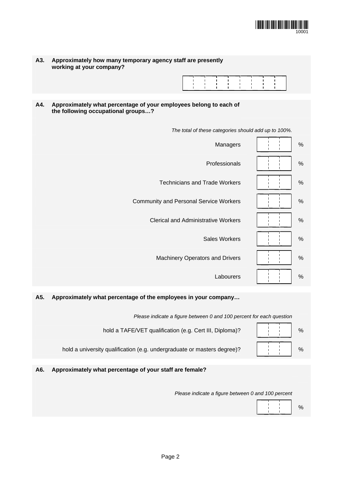

| A3. | Approximately how many temporary agency staff are presently |
|-----|-------------------------------------------------------------|
|     | working at your company?                                    |



**A4. Approximately what percentage of your employees belong to each of the following occupational groups…?** 

|                      | The total of these categories should add up to 100%. |
|----------------------|------------------------------------------------------|
| $\%$                 | Managers                                             |
| $\%$                 | Professionals                                        |
| $\%$                 | <b>Technicians and Trade Workers</b>                 |
| $\%$                 | <b>Community and Personal Service Workers</b>        |
| $\%$                 | <b>Clerical and Administrative Workers</b>           |
| $\%$                 | <b>Sales Workers</b>                                 |
| $\%$<br>$\mathbf{I}$ | Machinery Operators and Drivers                      |
|                      |                                                      |

## **A5. Approximately what percentage of the employees in your company…**

| Please indicate a figure between 0 and 100 percent for each question |  |
|----------------------------------------------------------------------|--|
| hold a TAFE/VET qualification (e.g. Cert III, Diploma)?              |  |

hold a university qualification (e.g. undergraduate or masters degree)?  $\begin{array}{ccc} \begin{array}{ccc} \downarrow & \downarrow & \end{array} & \downarrow \end{array}$ 

## **A6. Approximately what percentage of your staff are female?**

*Please indicate a figure between 0 and 100 percent* 

Labourers | | | | %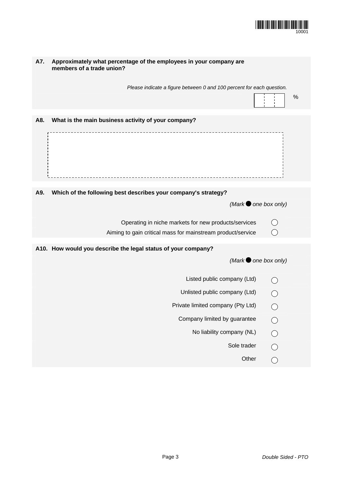

| A7. | Approximately what percentage of the employees in your company are<br>members of a trade union? |            |   |
|-----|-------------------------------------------------------------------------------------------------|------------|---|
|     | Please indicate a figure between 0 and 100 percent for each question.                           |            |   |
|     |                                                                                                 |            | % |
| A8. | What is the main business activity of your company?                                             |            |   |
|     |                                                                                                 |            |   |
| A9. | Which of the following best describes your company's strategy?                                  |            |   |
|     | (Mark $\bullet$ one box only)                                                                   |            |   |
|     |                                                                                                 |            |   |
|     | Operating in niche markets for new products/services                                            |            |   |
|     | Aiming to gain critical mass for mainstream product/service                                     |            |   |
|     | A10. How would you describe the legal status of your company?                                   |            |   |
|     | (Mark $\bullet$ one box only)                                                                   |            |   |
|     | Listed public company (Ltd)                                                                     |            |   |
|     | Unlisted public company (Ltd)                                                                   |            |   |
|     | Private limited company (Pty Ltd)                                                               |            |   |
|     | Company limited by guarantee                                                                    |            |   |
|     | No liability company (NL)                                                                       | $\bigcirc$ |   |
|     | Sole trader                                                                                     | $\bigcirc$ |   |
|     | Other                                                                                           | ◯          |   |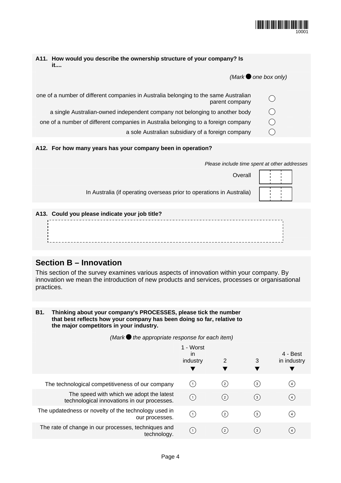

| A11. How would you describe the ownership structure of your company? Is<br>it                          |                               |
|--------------------------------------------------------------------------------------------------------|-------------------------------|
|                                                                                                        | $(Mark \bullet$ one box only) |
| one of a number of different companies in Australia belonging to the same Australian<br>parent company |                               |
| a single Australian-owned independent company not belonging to another body                            | ( )                           |
| one of a number of different companies in Australia belonging to a foreign company                     |                               |
| a sole Australian subsidiary of a foreign company                                                      |                               |
|                                                                                                        |                               |
| A12. For how many years has your company been in operation?                                            |                               |
| Please include time spent at other addresses                                                           |                               |
| Overall                                                                                                |                               |
| In Australia (if operating overseas prior to operations in Australia)                                  |                               |

| A13. Could you please indicate your job title? |  |
|------------------------------------------------|--|
|                                                |  |
|                                                |  |
|                                                |  |
|                                                |  |
|                                                |  |

# **Section B – Innovation**

This section of the survey examines various aspects of innovation within your company. By innovation we mean the introduction of new products and services, processes or organisational practices.

| <b>B1.</b> | Thinking about your company's PROCESSES, please tick the number        |
|------------|------------------------------------------------------------------------|
|            | that best reflects how your company has been doing so far, relative to |
|            | the major competitors in your industry.                                |

*(Mark the appropriate response for each item)*

|                                                                                         | 1 - Worst<br>in<br>industry | 2        | 3   | 4 - Best<br>in industry |
|-----------------------------------------------------------------------------------------|-----------------------------|----------|-----|-------------------------|
| The technological competitiveness of our company                                        |                             | (2)      | 〔3〕 | (4)                     |
| The speed with which we adopt the latest<br>technological innovations in our processes. | (1)                         | $^{(2)}$ | (3) | (4)                     |
| The updatedness or novelty of the technology used in<br>our processes.                  | $\left( 1 \right)$          | 〔2〕      | 〔3〕 | (4)                     |
| The rate of change in our processes, techniques and<br>technology.                      | (1)                         | 〔2〕      | (3) | $\left( 4 \right)$      |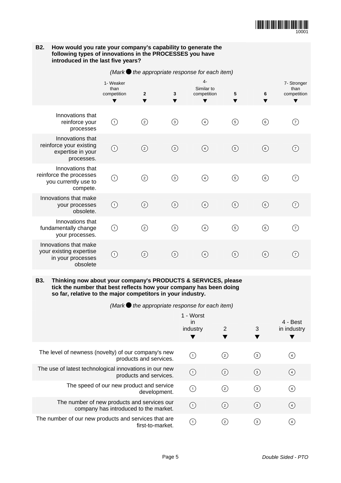

| B <sub>2</sub> .<br>How would you rate your company's capability to generate the<br>following types of innovations in the PROCESSES you have<br>introduced in the last five years?                               |                                                         |                        |         |                                                         |                     |                  |                                    |  |  |
|------------------------------------------------------------------------------------------------------------------------------------------------------------------------------------------------------------------|---------------------------------------------------------|------------------------|---------|---------------------------------------------------------|---------------------|------------------|------------------------------------|--|--|
|                                                                                                                                                                                                                  | (Mark $\bullet$ the appropriate response for each item) |                        |         |                                                         |                     |                  |                                    |  |  |
|                                                                                                                                                                                                                  | 1- Weaker<br>than<br>competition<br>▼                   | $\mathbf{2}$<br>v      | 3       | 4-<br>Similar to<br>competition                         | 5<br>▼              | 6                | 7- Stronger<br>than<br>competition |  |  |
| Innovations that<br>reinforce your<br>processes                                                                                                                                                                  | $\circled{1}$                                           | ②                      | $\odot$ | ④                                                       | $\circledcirc$      | $\odot$          | 7                                  |  |  |
| Innovations that<br>reinforce your existing<br>expertise in your<br>processes.                                                                                                                                   | $\odot$                                                 | $\odot$                | $\odot$ | $\odot$                                                 | $\odot$             | $\circledcirc$   | (7)                                |  |  |
| Innovations that<br>reinforce the processes<br>you currently use to<br>compete.                                                                                                                                  | ⊙                                                       | ⓒ                      | $\odot$ | $\circled{4}$                                           | $\circledS$         | $\odot$          | 7                                  |  |  |
| Innovations that make<br>your processes<br>obsolete.                                                                                                                                                             | $\odot$                                                 | $\odot$                | $\odot$ | $\circled{4}$                                           | $\circled{5}$       | $\odot$          | $\left( 7\right)$                  |  |  |
| Innovations that<br>fundamentally change<br>your processes.                                                                                                                                                      | $\bigcirc$                                              | $\odot$                | $\odot$ | $\circled{4}$                                           | $\circled{5}$       | $\odot$          | 7                                  |  |  |
| Innovations that make<br>your existing expertise<br>in your processes<br>obsolete                                                                                                                                | $\odot$                                                 | $\circled{2}$          | $\odot$ | $\circled{4}$                                           | $\odot$             | $\circledcirc$   | (7)                                |  |  |
| Thinking now about your company's PRODUCTS & SERVICES, please<br><b>B3.</b><br>tick the number that best reflects how your company has been doing<br>so far, relative to the major competitors in your industry. |                                                         |                        |         |                                                         |                     |                  |                                    |  |  |
|                                                                                                                                                                                                                  |                                                         |                        |         | (Mark $\bullet$ the appropriate response for each item) |                     |                  |                                    |  |  |
|                                                                                                                                                                                                                  |                                                         |                        |         | 1 - Worst<br>in                                         |                     |                  | 4 - Best                           |  |  |
|                                                                                                                                                                                                                  |                                                         |                        |         | industry<br>▼                                           | $\overline{2}$<br>v | 3<br>▼           | in industry<br>▼                   |  |  |
| The level of newness (novelty) of our company's new                                                                                                                                                              |                                                         | products and services. |         | (1)                                                     | $\binom{2}{}$       | $\left(3\right)$ | (4)                                |  |  |
|                                                                                                                                                                                                                  | The use of latest technological innovations in our new  |                        |         |                                                         |                     |                  |                                    |  |  |

umber of new products and services our  $\bigcirc$  (2)  $\bigcirc$  (3)  $\bigcirc$  (4)

The speed of our new product and service

The number of new products and services our

The number of our new products and services that are

innovations in our new  $\bigcirc$  (2)  $\bigcirc$  (3)  $\bigcirc$  (4)

 $\begin{array}{ccc} \text{ct} \text{ and service} & \text{ } \\ \text{development.} & \text{ } \end{array}$  (2) (3) (4)

ervices that are  $\bigcirc$   $\bigcirc$   $\bigcirc$   $\bigcirc$   $\bigcirc$   $\bigcirc$   $\bigcirc$   $\bigcirc$   $\bigcirc$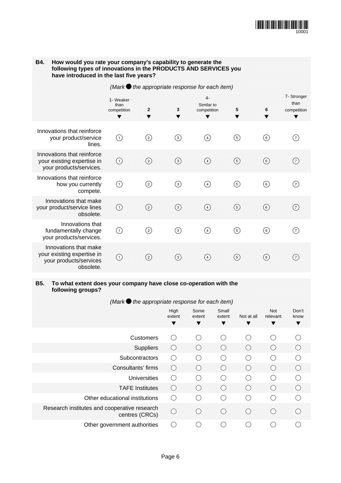

| B4.<br>How would you rate your company's capability to generate the<br>following types of innovations in the PRODUCTS AND SERVICES you<br>have introduced in the last five years? |                                       |                                                         |                  |                                        |               |                |                                         |  |  |  |  |
|-----------------------------------------------------------------------------------------------------------------------------------------------------------------------------------|---------------------------------------|---------------------------------------------------------|------------------|----------------------------------------|---------------|----------------|-----------------------------------------|--|--|--|--|
|                                                                                                                                                                                   |                                       | (Mark $\bullet$ the appropriate response for each item) |                  |                                        |               |                |                                         |  |  |  |  |
|                                                                                                                                                                                   | 1- Weaker<br>than<br>competition<br>▼ | $\overline{2}$                                          | 3<br>v           | $4-$<br>Similar to<br>competition<br>▼ | 5             | 6              | 7- Stronger<br>than<br>competition<br>v |  |  |  |  |
| Innovations that reinforce<br>your product/service<br>lines.                                                                                                                      | $\circled{1}$                         | ⓒ                                                       | $\circled{3}$    | $\circled{4}$                          | $\circledS$   | ⊚              | (7)                                     |  |  |  |  |
| Innovations that reinforce<br>your existing expertise in<br>your products/services.                                                                                               | $\odot$                               | $\circled{2}$                                           | $\odot$          | $\bigcirc$                             | $\odot$       | $\circledast$  | 7)                                      |  |  |  |  |
| Innovations that reinforce<br>how you currently<br>compete.                                                                                                                       | (1)                                   | ⓒ                                                       | $\odot$          | ④                                      | $\circledS$   | ⊙              | 7)                                      |  |  |  |  |
| Innovations that make<br>your product/service lines<br>obsolete.                                                                                                                  | $\odot$                               | $\circled{2}$                                           | $\odot$          | $\circled{4}$                          | $\circledS$   | $\circledcirc$ | (7)                                     |  |  |  |  |
| Innovations that<br>fundamentally change<br>your products/services.                                                                                                               | $\bigcirc$                            | ②                                                       | $\circled{3}$    | $\circled{4}$                          | $\circled{5}$ | 6)             | 7                                       |  |  |  |  |
| Innovations that make<br>your existing expertise in<br>your products/services<br>obsolete.                                                                                        | $\circled{1}$                         | $\rm (2)$                                               | $\left(3\right)$ | (4)                                    | $\circled{5}$ | 6)             | (7)                                     |  |  |  |  |

### **B5. To what extent does your company have close co-operation with the following groups?**

*(Mark the appropriate response for each item)*

|                                                                | High<br>extent                             | Some<br>extent<br>▼ | Small<br>extent                               | Not at all                                              | Not<br>relevant  | Don't<br>know |
|----------------------------------------------------------------|--------------------------------------------|---------------------|-----------------------------------------------|---------------------------------------------------------|------------------|---------------|
|                                                                | ▼                                          |                     | ▼                                             | v                                                       |                  | ▼             |
| <b>Customers</b>                                               | $($ )                                      | $\subset$           | $\left( \begin{array}{c} \end{array} \right)$ | $\left(\begin{array}{c} \end{array}\right)$             | ( )              |               |
| Suppliers                                                      | $($ )                                      | $\left( \right)$    |                                               | ( )                                                     |                  |               |
| Subcontractors                                                 | ( )                                        | ◯                   | $\left( \begin{array}{c} \end{array} \right)$ | ◯                                                       | ( )              |               |
| Consultants' firms                                             | $\left(\begin{matrix} \end{matrix}\right)$ | $\bigcap$           | $\left( \quad \right)$                        | $\left(\begin{smallmatrix}1\\1\end{smallmatrix}\right)$ | ( )              |               |
| <b>Universities</b>                                            | $\bigcap$                                  | ◯                   |                                               | ∩                                                       |                  |               |
| <b>TAFE Institutes</b>                                         | $\left(\begin{matrix} \end{matrix}\right)$ | ◯                   |                                               | ∩                                                       | $\left( \right)$ |               |
| Other educational institutions                                 | $($ )                                      | ⌒                   |                                               | ∩                                                       |                  |               |
| Research institutes and cooperative research<br>centres (CRCs) | ∩                                          | C                   |                                               | $\left(\begin{array}{c} \end{array}\right)$             |                  |               |
| Other government authorities                                   |                                            |                     |                                               |                                                         |                  |               |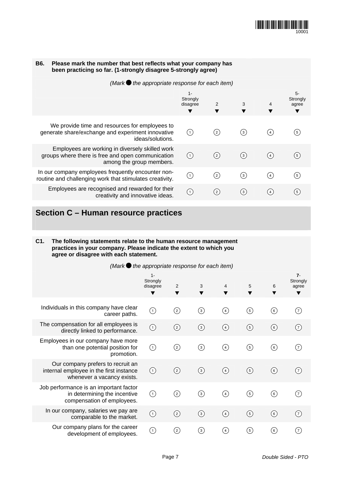

| <b>B6.</b><br>Please mark the number that best reflects what your company has<br>been practicing so far. (1-strongly disagree 5-strongly agree) |                                                                                                                                  |                                    |                |                   |     |                           |  |  |
|-------------------------------------------------------------------------------------------------------------------------------------------------|----------------------------------------------------------------------------------------------------------------------------------|------------------------------------|----------------|-------------------|-----|---------------------------|--|--|
| (Mark $\bullet$ the appropriate response for each item)                                                                                         |                                                                                                                                  |                                    |                |                   |     |                           |  |  |
|                                                                                                                                                 |                                                                                                                                  | $1 -$<br>Strongly<br>disagree<br>v | $\overline{2}$ | 3                 | 4   | $5-$<br>Strongly<br>agree |  |  |
|                                                                                                                                                 | We provide time and resources for employees to<br>generate share/exchange and experiment innovative<br>ideas/solutions.          | (1)                                | (2)            | $^{\rm (3)}$      | (4) | $\left[ 5 \right]$        |  |  |
|                                                                                                                                                 | Employees are working in diversely skilled work<br>groups where there is free and open communication<br>among the group members. | (1)                                | (2)            | $\left( 3\right)$ | (4) | $\left(5\right)$          |  |  |
|                                                                                                                                                 | In our company employees frequently encounter non-<br>routine and challenging work that stimulates creativity.                   | $\odot$                            | (2)            | $\left(3\right)$  | (4) | $\left(5\right)$          |  |  |
|                                                                                                                                                 | Employees are recognised and rewarded for their<br>creativity and innovative ideas.                                              | (1)                                | (2)            | $^{\rm (3)}$      | (4) | (5)                       |  |  |
|                                                                                                                                                 |                                                                                                                                  |                                    |                |                   |     |                           |  |  |

# **Section C – Human resource practices**

#### **C1. The following statements relate to the human resource management practices in your company. Please indicate the extent to which you agree or disagree with each statement.**

| (Mark $\bullet$ the appropriate response for each item) |                                                                                                            |                                    |               |                  |                   |                   |                   |                                 |
|---------------------------------------------------------|------------------------------------------------------------------------------------------------------------|------------------------------------|---------------|------------------|-------------------|-------------------|-------------------|---------------------------------|
|                                                         |                                                                                                            | $1 -$<br>Strongly<br>disagree<br>▼ | 2<br>▼        | 3                | 4                 | 5<br>▼            | 6                 | $7 -$<br>Strongly<br>agree<br>▼ |
|                                                         | Individuals in this company have clear<br>career paths.                                                    | $\left( 1\right)$                  | $\circled{c}$ | $\rm (3)$        | (4)               | රි)               | $\left( 6\right)$ | (7)                             |
|                                                         | The compensation for all employees is<br>directly linked to performance.                                   | $\odot$                            | $\circled{c}$ | $\left(3\right)$ | $\left( 4\right)$ | $\circledS$       | (6)               | (7)                             |
|                                                         | Employees in our company have more<br>than one potential position for<br>promotion.                        | $\odot$                            | $\rm _{(2)}$  | ③                | $\circledast$     | රි)               | 6)                | 7)                              |
|                                                         | Our company prefers to recruit an<br>internal employee in the first instance<br>whenever a vacancy exists. | $\odot$                            | (2)           | $\circled{3}$    | $\circledast$     | $\circledg$       | 6)                | (7)                             |
|                                                         | Job performance is an important factor<br>in determining the incentive<br>compensation of employees.       | $\bigcirc$                         | $\rm _{(2)}$  | ③                | $\circledast$     | டு)               | 6)                | (7)                             |
|                                                         | In our company, salaries we pay are<br>comparable to the market.                                           | ⊙                                  | $\circled{2}$ | $\circled{3}$    | $\circledast$     | $\circledg$       | 6)                | 7                               |
|                                                         | Our company plans for the career<br>development of employees.                                              | ①                                  | $^{(2)}$      | (3)              | (4)               | $\left( 5\right)$ | (6)               | (7)                             |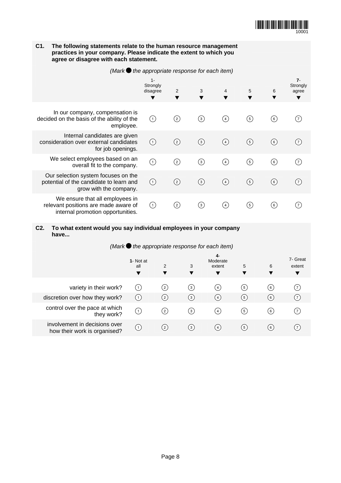

**C2. To what extent would you say individual employees in your company have...**

| (Mark the appropriate response for each item)                 |                       |                   |                  |     |                    |                |                   |  |  |
|---------------------------------------------------------------|-----------------------|-------------------|------------------|-----|--------------------|----------------|-------------------|--|--|
|                                                               | 1- Not at<br>all<br>▼ | 2                 | 3<br>▼           | 6   | 7- Great<br>extent |                |                   |  |  |
| variety in their work?                                        | Œ                     | $^{(2)}$          | $\left(3\right)$ | (4) | (5)                | 6 <sup>1</sup> | (7)               |  |  |
| discretion over how they work?                                | (1)                   | $\left( 2\right)$ | $^{\rm (3)}$     | (4) | (5)                | (6)            | (7)               |  |  |
| control over the pace at which<br>they work?                  | (1)                   | $^{(2)}$          | $\left(3\right)$ | (4) | (5)                | [6]            | (7)               |  |  |
| involvement in decisions over<br>how their work is organised? | (1)                   | (2)               | $\left(3\right)$ | (4) | (5)                | [6]            | $\left( 7\right)$ |  |  |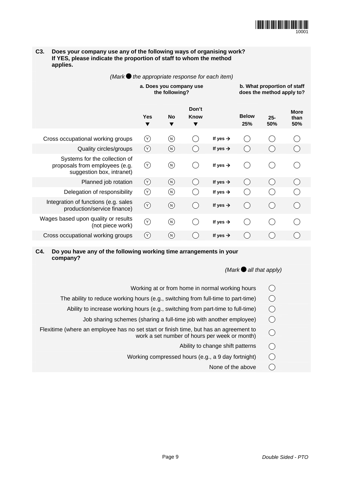

#### **C3. Does your company use any of the following ways of organising work? If YES, please indicate the proportion of staff to whom the method applies.**

|                                                                                              |                |                                           |                          | (Mark $\bullet$ the appropriate response for each item) |                                                          |               |                            |
|----------------------------------------------------------------------------------------------|----------------|-------------------------------------------|--------------------------|---------------------------------------------------------|----------------------------------------------------------|---------------|----------------------------|
|                                                                                              |                | a. Does you company use<br>the following? |                          |                                                         | b. What proportion of staff<br>does the method apply to? |               |                            |
|                                                                                              | <b>Yes</b>     | <b>No</b><br>▼                            | Don't<br>Know<br>▼       |                                                         | <b>Below</b><br>25%                                      | $25 -$<br>50% | <b>More</b><br>than<br>50% |
| Cross occupational working groups                                                            | $\circled{r}$  | (N)                                       |                          | If yes $\rightarrow$                                    | $\overline{(\quad)}$                                     |               |                            |
| Quality circles/groups                                                                       | $(\vee)$       | $(\mathsf{N})$                            |                          | If yes $\rightarrow$                                    |                                                          |               |                            |
| Systems for the collection of<br>proposals from employees (e.g.<br>suggestion box, intranet) | $\circledcirc$ | $\circledR$                               | $\overline{\phantom{0}}$ | If yes $\rightarrow$                                    | $(\ )$                                                   |               |                            |
| Planned job rotation                                                                         | (Y)            | (N)                                       |                          | If yes $\rightarrow$                                    |                                                          |               |                            |
| Delegation of responsibility                                                                 | $\circledcirc$ | $\circledR$                               |                          | If yes $\rightarrow$                                    |                                                          |               |                            |
| Integration of functions (e.g. sales<br>production/service finance)                          | $\odot$        | $\circledR$                               | $\overline{\phantom{a}}$ | If yes $\rightarrow$                                    | ( )                                                      |               |                            |
| Wages based upon quality or results<br>(not piece work)                                      | $\circledcirc$ | $(\overline{N})$                          |                          | If yes $\rightarrow$                                    |                                                          |               |                            |
| Cross occupational working groups                                                            | (Y)            | $(\vee)$                                  |                          | If yes $\rightarrow$                                    |                                                          |               |                            |

### **C4. Do you have any of the following working time arrangements in your company?**

## *(Mark all that apply)*

- Working at or from home in normal working hours  $\bigcirc$
- - Ability to increase working hours (e.g., switching from part-time to full-time)
		- Job sharing schemes (sharing a full-time job with another employee)
- The ability to reduce working hours (e.g., switching from full-time to part-time) <br>  $\bigcirc$ <br>
Ability to increase working hours (e.g., switching from part-time to full-time)  $\bigcirc$ <br>
Job sharing schemes (sharing a full-time jo Flexitime (where an employee has no set start or finish time, but has an agreement to work a set number of hours per week or month)
	- Ability to change shift patterns
	- Working compressed hours (e.g., a 9 day fortnight)  $\bigcirc$ 
		- None of the above  $\bigcirc$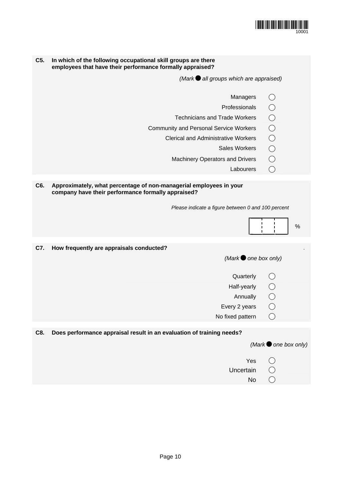

| C5. | In which of the following occupational skill groups are there<br>employees that have their performance formally appraised? |                               |
|-----|----------------------------------------------------------------------------------------------------------------------------|-------------------------------|
|     | (Mark all groups which are appraised)                                                                                      |                               |
|     | Managers                                                                                                                   |                               |
|     | Professionals                                                                                                              |                               |
|     | <b>Technicians and Trade Workers</b>                                                                                       |                               |
|     | <b>Community and Personal Service Workers</b>                                                                              |                               |
|     | <b>Clerical and Administrative Workers</b>                                                                                 |                               |
|     | <b>Sales Workers</b>                                                                                                       | OOOOO                         |
|     | <b>Machinery Operators and Drivers</b>                                                                                     | $\overline{\bigcirc}$         |
|     | Labourers                                                                                                                  | ◯                             |
| C6. | Approximately, what percentage of non-managerial employees in your<br>company have their performance formally appraised?   |                               |
|     | Please indicate a figure between 0 and 100 percent                                                                         |                               |
|     |                                                                                                                            |                               |
|     |                                                                                                                            | $\%$                          |
| C7. | How frequently are appraisals conducted?                                                                                   |                               |
|     | (Mark $\bullet$ one box only)                                                                                              |                               |
|     | Quarterly                                                                                                                  |                               |
|     | Half-yearly                                                                                                                |                               |
|     | Annually                                                                                                                   |                               |
|     | Every 2 years                                                                                                              |                               |
|     | No fixed pattern                                                                                                           |                               |
|     |                                                                                                                            |                               |
| C8. | Does performance appraisal result in an evaluation of training needs?                                                      |                               |
|     |                                                                                                                            | (Mark $\bullet$ one box only) |
|     | Yes                                                                                                                        |                               |
|     | Uncertain                                                                                                                  |                               |
|     | No                                                                                                                         |                               |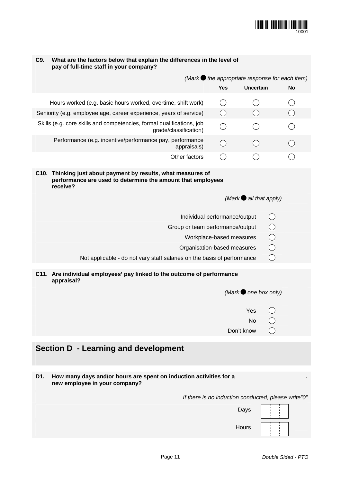

| C9. | What are the factors below that explain the differences in the level of<br>pay of full-time staff in your company?                       |                               |                                 |                                                         |
|-----|------------------------------------------------------------------------------------------------------------------------------------------|-------------------------------|---------------------------------|---------------------------------------------------------|
|     |                                                                                                                                          |                               |                                 | (Mark $\bullet$ the appropriate response for each item) |
|     |                                                                                                                                          | <b>Yes</b>                    | <b>Uncertain</b>                | <b>No</b>                                               |
|     | Hours worked (e.g. basic hours worked, overtime, shift work)                                                                             | ◯                             | ◯                               |                                                         |
|     | Seniority (e.g. employee age, career experience, years of service)                                                                       | ◯                             | ◯                               | ◯                                                       |
|     | Skills (e.g. core skills and competencies, formal qualifications, job<br>grade/classification)                                           | ◯                             |                                 |                                                         |
|     | Performance (e.g. incentive/performance pay, performance<br>appraisals)                                                                  | $\bigcirc$                    | $\left(\right)$                 | ◯                                                       |
|     | Other factors                                                                                                                            | $(\ )$                        | ()                              |                                                         |
|     | C10. Thinking just about payment by results, what measures of<br>performance are used to determine the amount that employees<br>receive? |                               |                                 |                                                         |
|     |                                                                                                                                          |                               | (Mark $\bullet$ all that apply) |                                                         |
|     |                                                                                                                                          | Individual performance/output |                                 | $\left(\begin{array}{c} \end{array}\right)$             |
|     | Group or team performance/output                                                                                                         |                               |                                 | $\bigcirc$                                              |
|     |                                                                                                                                          | Workplace-based measures      |                                 | O                                                       |
|     | Organisation-based measures                                                                                                              |                               |                                 | $\bigcirc$                                              |
|     | Not applicable - do not vary staff salaries on the basis of performance                                                                  |                               | $\bigcirc$                      |                                                         |
|     | C11. Are individual employees' pay linked to the outcome of performance<br>appraisal?                                                    |                               |                                 |                                                         |
|     |                                                                                                                                          |                               | (Mark $\bullet$ one box only)   |                                                         |
|     |                                                                                                                                          |                               | Yes $\bigcap$                   |                                                         |
|     |                                                                                                                                          |                               | No                              |                                                         |
|     |                                                                                                                                          |                               | Don't know                      |                                                         |
|     | <b>Section D - Learning and development</b>                                                                                              |                               |                                 |                                                         |
|     |                                                                                                                                          |                               |                                 |                                                         |
| D1. | How many days and/or hours are spent on induction activities for a                                                                       |                               |                                 |                                                         |
|     | new employee in your company?                                                                                                            |                               |                                 |                                                         |
|     |                                                                                                                                          |                               |                                 | If there is no induction conducted, please write"0"     |
|     |                                                                                                                                          |                               | Days                            |                                                         |
|     |                                                                                                                                          |                               | Hours                           |                                                         |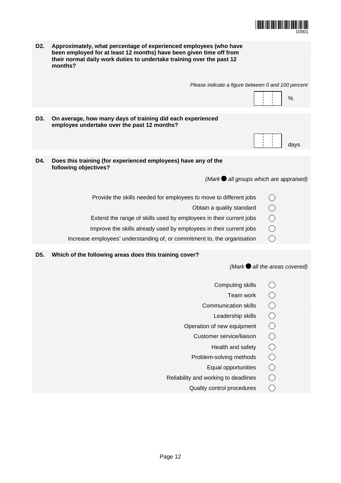

| D <sub>2</sub> . | Approximately, what percentage of experienced employees (who have<br>been employed for at least 12 months) have been given time off from<br>their normal daily work duties to undertake training over the past 12<br>months? |                |      |
|------------------|------------------------------------------------------------------------------------------------------------------------------------------------------------------------------------------------------------------------------|----------------|------|
|                  | Please indicate a figure between 0 and 100 percent                                                                                                                                                                           |                | $\%$ |
|                  |                                                                                                                                                                                                                              |                |      |
| D3.              | On average, how many days of training did each experienced<br>employee undertake over the past 12 months?                                                                                                                    |                |      |
|                  |                                                                                                                                                                                                                              |                | days |
| D4.              | Does this training (for experienced employees) have any of the<br>following objectives?                                                                                                                                      |                |      |
|                  | $(Mark \bullet all groups which are app raised)$                                                                                                                                                                             |                |      |
|                  | Provide the skills needed for employees to move to different jobs                                                                                                                                                            |                |      |
|                  | Obtain a quality standard                                                                                                                                                                                                    | $\circ$        |      |
|                  | Extend the range of skills used by employees in their current jobs                                                                                                                                                           |                |      |
|                  | Improve the skills already used by employees in their current jobs                                                                                                                                                           | $\overline{O}$ |      |
|                  | Increase employees' understanding of, or commitment to, the organisation                                                                                                                                                     | ◯              |      |
| D <sub>5</sub> . | Which of the following areas does this training cover?                                                                                                                                                                       |                |      |
|                  | (Mark $\bigcirc$ all the areas covered)                                                                                                                                                                                      |                |      |
|                  | Computing skills                                                                                                                                                                                                             |                |      |
|                  | Team work                                                                                                                                                                                                                    |                |      |
|                  | <b>Communication skills</b>                                                                                                                                                                                                  |                |      |
|                  | Leadership skills                                                                                                                                                                                                            |                |      |
|                  | Operation of new equipment                                                                                                                                                                                                   |                |      |
|                  | Customer service/liaison                                                                                                                                                                                                     |                |      |
|                  | Health and safety                                                                                                                                                                                                            | 00000          |      |
|                  | Problem-solving methods                                                                                                                                                                                                      |                |      |
|                  | Equal opportunities                                                                                                                                                                                                          |                |      |

- Reliability and working to deadlines  $\bigcirc$ <br>Quality control procedures  $\bigcirc$ 
	- Quality control procedures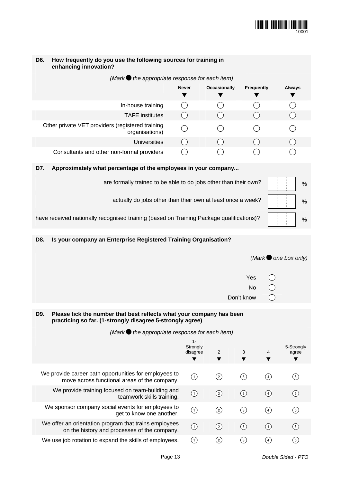

| D6. | How frequently do you use the following sources for training in<br>enhancing innovation?                                          |                                             |                     |                                             |               |                               |
|-----|-----------------------------------------------------------------------------------------------------------------------------------|---------------------------------------------|---------------------|---------------------------------------------|---------------|-------------------------------|
|     | (Mark $\bullet$ the appropriate response for each item)                                                                           |                                             |                     |                                             |               |                               |
|     |                                                                                                                                   | <b>Never</b>                                | <b>Occasionally</b> | <b>Frequently</b>                           |               | <b>Always</b>                 |
|     |                                                                                                                                   | ▼                                           |                     |                                             |               |                               |
|     | In-house training                                                                                                                 | $\left(\begin{array}{c} \end{array}\right)$ |                     | $\left(\begin{array}{c} \end{array}\right)$ |               | ◯                             |
|     | <b>TAFE</b> institutes                                                                                                            | $\left(\begin{array}{c} \end{array}\right)$ |                     |                                             |               | $\bigcirc$                    |
|     | Other private VET providers (registered training<br>organisations)                                                                |                                             |                     |                                             |               |                               |
|     | <b>Universities</b>                                                                                                               | $\left(\right)$                             |                     | $\bigcirc$                                  |               | $\bigcirc$                    |
|     | Consultants and other non-formal providers                                                                                        | ( )                                         |                     | ( )                                         |               |                               |
| D7. | Approximately what percentage of the employees in your company                                                                    |                                             |                     |                                             |               |                               |
|     | are formally trained to be able to do jobs other than their own?                                                                  |                                             |                     |                                             |               | %                             |
|     | actually do jobs other than their own at least once a week?                                                                       |                                             |                     |                                             |               | %                             |
|     | have received nationally recognised training (based on Training Package qualifications)?                                          |                                             |                     |                                             |               | $\%$                          |
| D8. | Is your company an Enterprise Registered Training Organisation?                                                                   |                                             |                     |                                             |               |                               |
|     |                                                                                                                                   |                                             |                     |                                             |               |                               |
|     |                                                                                                                                   |                                             |                     |                                             |               |                               |
|     |                                                                                                                                   |                                             |                     |                                             |               | (Mark $\bullet$ one box only) |
|     |                                                                                                                                   |                                             |                     | Yes                                         |               |                               |
|     |                                                                                                                                   |                                             |                     | No                                          |               |                               |
|     |                                                                                                                                   |                                             |                     | Don't know                                  | ◯             |                               |
|     |                                                                                                                                   |                                             |                     |                                             |               |                               |
| D9. | Please tick the number that best reflects what your company has been<br>practicing so far. (1-strongly disagree 5-strongly agree) |                                             |                     |                                             |               |                               |
|     | (Mark $\bullet$ the appropriate response for each item)                                                                           |                                             |                     |                                             |               |                               |
|     |                                                                                                                                   | $1-$                                        |                     |                                             |               |                               |
|     |                                                                                                                                   | Strongly<br>disagree                        | 2                   | 3                                           | 4             | 5-Strongly<br>agree           |
|     |                                                                                                                                   | ▼                                           | ▼                   | ▼                                           | ▼             | ▼                             |
|     | We provide career path opportunities for employees to<br>move across functional areas of the company.                             | $\odot$                                     | ⓒ                   | $\odot$                                     | $\circled{4}$ | $\circled{5}$                 |
|     | We provide training focused on team-building and<br>teamwork skills training.                                                     | $\odot$                                     | $\odot$             | $\odot$                                     | $\circled{4}$ | $\odot$                       |
|     | We sponsor company social events for employees to<br>get to know one another.                                                     | $\odot$                                     | ⓒ                   | $\odot$                                     | $\circled{4}$ | $\circled{5}$                 |
|     | We offer an orientation program that trains employees<br>on the history and processes of the company.                             | $\odot$                                     | $\odot$             | $\circled{3}$                               | $\circled{4}$ | $\odot$                       |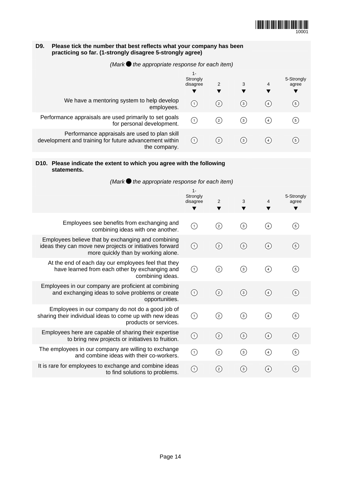

## **D9. Please tick the number that best reflects what your company has been practicing so far. (1-strongly disagree 5-strongly agree)**

*(Mark the appropriate response for each item)* 

|                                                                                                                         | $1 -$<br>Strongly<br>disagree | 2                 | 3                | 4                | 5-Strongly<br>agree |
|-------------------------------------------------------------------------------------------------------------------------|-------------------------------|-------------------|------------------|------------------|---------------------|
| We have a mentoring system to help develop<br>employees.                                                                | (1)                           | $^{(2)}$          | $\left(3\right)$ | $\left(4\right)$ | $\left(5\right)$    |
| Performance appraisals are used primarily to set goals<br>for personal development.                                     | (1)                           | (2)               | 3)               | $\left(4\right)$ | 5)                  |
| Performance appraisals are used to plan skill<br>development and training for future advancement within<br>the company. | (1)                           | $\left( 2\right)$ | 3)               | $\left 4\right $ | 5 <sup>1</sup>      |

### **D10. Please indicate the extent to which you agree with the following statements.**

*(Mark the appropriate response for each item)* 

|                                                                                                                                                      | $1 -$<br>Strongly<br>disagree<br>▼ | 2<br>▼            | 3<br>▼           | 4<br>▼            | 5-Strongly<br>agree<br>▼ |
|------------------------------------------------------------------------------------------------------------------------------------------------------|------------------------------------|-------------------|------------------|-------------------|--------------------------|
| Employees see benefits from exchanging and<br>combining ideas with one another.                                                                      | $\odot$                            |                   | $\odot$          | $\left( 4\right)$ | (5)                      |
| Employees believe that by exchanging and combining<br>ideas they can move new projects or initiatives forward<br>more quickly than by working alone. | $\odot$                            | $\circled{2}$     | $\circled{3}$    | ④                 | $\circled{5}$            |
| At the end of each day our employees feel that they<br>have learned from each other by exchanging and<br>combining ideas.                            | $\odot$                            | $\circled{c}$     | ⊚                | $\circled{4}$     | $\circledg$              |
| Employees in our company are proficient at combining<br>and exchanging ideas to solve problems or create<br>opportunities.                           | $\odot$                            | $\left( 2\right)$ | $\circled{3}$    | $\left( 4\right)$ | $\circled{5}$            |
| Employees in our company do not do a good job of<br>sharing their individual ideas to come up with new ideas<br>products or services.                | $\bigodot$                         | ⓒ                 | $\circled{3}$    | $\circled{4}$     | $\circled{5}$            |
| Employees here are capable of sharing their expertise<br>to bring new projects or initiatives to fruition.                                           | $\odot$                            | $\circled{2}$     | $\circled{3}$    | $\binom{4}{}$     | (5)                      |
| The employees in our company are willing to exchange<br>and combine ideas with their co-workers.                                                     | $\bigcap$                          | $\odot$           | $\circled{3}$    | $\circled{4}$     | $\circledg$              |
| It is rare for employees to exchange and combine ideas<br>to find solutions to problems.                                                             | $\left( 1\right)$                  | (2)               | $\left(3\right)$ | (4)               | (5)                      |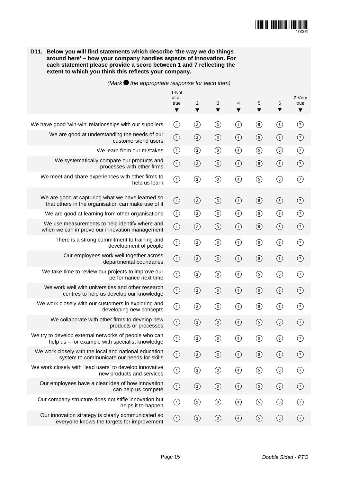

**D11. Below you will find statements which describe 'the way we do things around here' – how your company handles aspects of innovation. For each statement please provide a score between 1 and 7 reflecting the extent to which you think this reflects your company.** 

*(Mark the appropriate response for each item)*

|                                                                                                          | 1-Not<br>at all<br>true<br>$\blacktriangledown$ | 2<br>▼         | 3<br>▼        | 4<br>▼        | 5<br>▼         | 6<br>▼         | 7-Very<br>true<br>$\blacktriangledown$ |
|----------------------------------------------------------------------------------------------------------|-------------------------------------------------|----------------|---------------|---------------|----------------|----------------|----------------------------------------|
| We have good 'win-win' relationships with our suppliers                                                  | $\odot$                                         | $\odot$        | $\odot$       | $\bigcirc$    | $\odot$        | $\circledcirc$ | ⊙                                      |
| We are good at understanding the needs of our<br>customers/end users                                     | $\bigodot$                                      | $\odot$        | $\odot$       | $\bigcirc$    | $\odot$        | $\odot$        | $\odot$                                |
| We learn from our mistakes                                                                               | $\odot$                                         | $\odot$        | $\odot$       | $\bigcirc$    | $\circledS$    | $\odot$        | $\odot$                                |
| We systematically compare our products and<br>processes with other firms                                 | $\odot$                                         | $\circled{2}$  | $\circled{3}$ | $\odot$       | $\odot$        | $\odot$        | $\circled{)}$                          |
| We meet and share experiences with other firms to<br>help us learn                                       | $\bigodot$                                      | $\circledcirc$ | $\odot$       | $\bigcirc$    | $\circledS$    | $\circledcirc$ | $\circledg$                            |
| We are good at capturing what we have learned so<br>that others in the organisation can make use of it   | $\bigodot$                                      | $\odot$        | $\odot$       | $\bigcirc$    | $\odot$        | $\odot$        | $\left( 7\right)$                      |
| We are good at learning from other organisations                                                         | $\odot$                                         | $\circled{2}$  | $\odot$       | $\bigcirc$    | $\odot$        | $\odot$        | ⊙                                      |
| We use measurements to help identify where and<br>when we can improve our innovation management          | $\bigodot$                                      | $\circled{2}$  | $\odot$       | $\bigcirc$    | $\odot$        | $\odot$        | $\odot$                                |
| There is a strong commitment to training and<br>development of people                                    | $\odot$                                         | $\odot$        | $\odot$       | $\bigcirc$    | $\odot$        | $\odot$        | ⊙                                      |
| Our employees work well together across<br>departmental boundaries                                       | $\bigodot$                                      | $\circled{2}$  | $\odot$       | $\bigcirc$    | $\circ$        | $\odot$        | $\left( 7\right)$                      |
| We take time to review our projects to improve our<br>performance next time                              | $\bigodot$                                      | $\odot$        | $\odot$       | $\bigodot$    | $\odot$        | $\odot$        | $\circledg$                            |
| We work well with universities and other research<br>centres to help us develop our knowledge            | $\odot$                                         | $\odot$        | $\odot$       | $\circled{4}$ | $\odot$        | $\odot$        | (7)                                    |
| We work closely with our customers in exploring and<br>developing new concepts                           | $\bigodot$                                      | $\odot$        | $\odot$       | $\bigcirc$    | $\odot$        | $\odot$        | $\circledg$                            |
| We collaborate with other firms to develop new<br>products or processes                                  | $\bigcirc$                                      | $\circled{2}$  | $\odot$       | $\circled{4}$ | $\odot$        | $\binom{6}{}$  | (7)                                    |
| We try to develop external networks of people who can<br>help us - for example with specialist knowledge | ⊙                                               | $\circled{2}$  | $\odot$       | $\bigcirc$    | $\circledS$    | ⊙              | 7                                      |
| We work closely with the local and national education<br>system to communicate our needs for skills      | $\bigodot$                                      | $\circled{2}$  | $\odot$       | $\bigcirc$    | $\circledS$    | $\circledast$  | ⊙                                      |
| We work closely with 'lead users' to develop innovative<br>new products and services                     | $\bigodot$                                      | $\odot$        | $\odot$       | $\bigcirc$    | $\odot$        | $\circledcirc$ | ⊙                                      |
| Our employees have a clear idea of how innovation<br>can help us compete                                 | $\odot$                                         | $\odot$        | $\odot$       | $\bigcirc$    | $\odot$        | $\odot$        | $\left( 7\right)$                      |
| Our company structure does not stifle innovation but<br>helps it to happen                               | $\bigodot$                                      | $\odot$        | $\odot$       | $\bigcirc$    | $\odot$        | $\circledcirc$ | ⊙                                      |
| Our innovation strategy is clearly communicated so<br>everyone knows the targets for improvement         | $\odot$                                         | $\odot$        | $\circled{3}$ | $\bigcirc$    | $\circledcirc$ | $\circledcirc$ | $\odot$                                |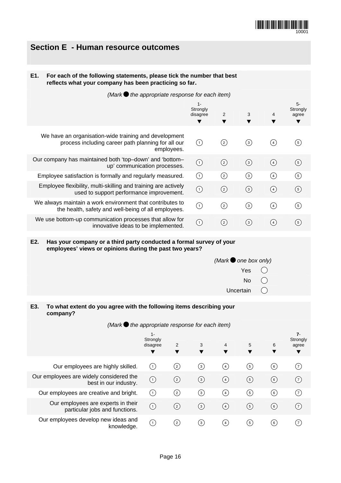

## **Section E - Human resource outcomes**

### **E1. For each of the following statements, please tick the number that best reflects what your company has been practicing so far.**

*(Mark the appropriate response for each item)*

|                                                                                                                           | $1 -$<br>Strongly<br>disagree | 2        | 3            | 4                  | $5-$<br>Strongly<br>agree<br>▼ |
|---------------------------------------------------------------------------------------------------------------------------|-------------------------------|----------|--------------|--------------------|--------------------------------|
| We have an organisation-wide training and development<br>process including career path planning for all our<br>employees. | (1)                           | (2)      | (3)          | $\left( 4 \right)$ | (5)                            |
| Our company has maintained both 'top-down' and 'bottom-<br>up' communication processes.                                   | (1)                           | $^{(2)}$ | $^{\rm (3)}$ | (4)                | (5)                            |
| Employee satisfaction is formally and regularly measured.                                                                 | (1)                           | $^{(2)}$ | (3)          | $\left(4\right)$   | $\circledg$                    |
| Employee flexibility, multi-skilling and training are actively<br>used to support performance improvement.                | $\left( 1\right)$             | $^{(2)}$ | $^{\rm (3)}$ | (4)                | (5)                            |
| We always maintain a work environment that contributes to<br>the health, safety and well-being of all employees.          | (1)                           | $^{(2)}$ | 〔3〕          | $\left( 4 \right)$ | (5)                            |
| We use bottom-up communication processes that allow for<br>innovative ideas to be implemented.                            | (1)                           | $^{(2)}$ | 〔3〕          | $\left(4\right)$   | (5)                            |

#### **E2. Has your company or a third party conducted a formal survey of your employees' views or opinions during the past two years?**

|                     | $(Mark\bullet$ one box only) |  |
|---------------------|------------------------------|--|
|                     | Yes $\bigcirc$               |  |
|                     | No $\bigcirc$                |  |
| Uncertain $\bigcap$ |                              |  |
|                     |                              |  |

### **E3. To what extent do you agree with the following items describing your company?**

| (Mark $\bullet$ the appropriate response for each item)              |                               |                   |                  |        |        |        |                                 |
|----------------------------------------------------------------------|-------------------------------|-------------------|------------------|--------|--------|--------|---------------------------------|
|                                                                      | $1 -$<br>Strongly<br>disagree | 2<br>v            | 3<br>▼           | 4<br>v | 5<br>▼ | 6<br>▼ | $7 -$<br>Strongly<br>agree<br>▼ |
| Our employees are highly skilled.                                    | (1)                           | $\left( 2\right)$ | (3)              | (4)    | (5)    | (6)    | (7)                             |
| Our employees are widely considered the<br>best in our industry.     | (1)                           | $^{(2)}$          | $\left(3\right)$ | (4)    | (5)    | (6)    | (7)                             |
| Our employees are creative and bright.                               | (1)                           | $^{(2)}$          | $^{\rm (3)}$     | (4)    | (5)    | (6)    | (7)                             |
| Our employees are experts in their<br>particular jobs and functions. | (1)                           | $^{(2)}$          | $\left(3\right)$ | (4)    | (5)    | (6)    | (7)                             |
| Our employees develop new ideas and<br>knowledge.                    | (1)                           | $^{(2)}$          | (3)              | (4)    | (5)    | (6)    | (7)                             |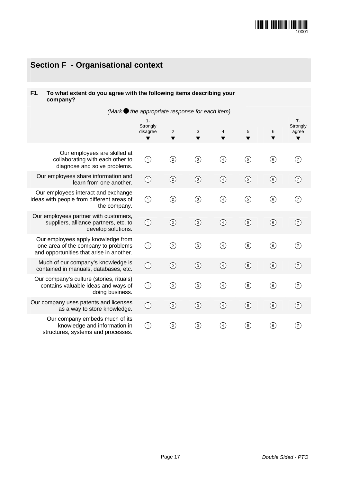# **Section F - Organisational context**

## **F1. To what extent do you agree with the following items describing your company?**

| (Mark $\bigcirc$ the appropriate response for each item)                                                              |                                    |                |             |               |               |                |                                 |
|-----------------------------------------------------------------------------------------------------------------------|------------------------------------|----------------|-------------|---------------|---------------|----------------|---------------------------------|
|                                                                                                                       | $1 -$<br>Strongly<br>disagree<br>▼ | 2<br>▼         | 3           | 4<br>▼        | 5<br>v        | 6              | $7 -$<br>Strongly<br>agree<br>▼ |
| Our employees are skilled at<br>collaborating with each other to<br>diagnose and solve problems.                      | $\odot$                            | $\circledS$    | $\odot$     | $\bigcirc$    | $\odot$       | $\circledast$  | ⊙                               |
| Our employees share information and<br>learn from one another.                                                        | $\bigodot$                         | $\circled{2}$  | $\odot$     | $\circled{4}$ | $\circled{5}$ | $\circledast$  | $\odot$                         |
| Our employees interact and exchange<br>ideas with people from different areas of<br>the company.                      | $\odot$                            | ⓒ              | $\odot$     | ④             | ⑤             | $\circledcirc$ | $\circledg$                     |
| Our employees partner with customers,<br>suppliers, alliance partners, etc. to<br>develop solutions.                  | $\odot$                            | $\odot$        | $\odot$     | $\bigcirc$    | $\odot$       | $\circledcirc$ | $\odot$                         |
| Our employees apply knowledge from<br>one area of the company to problems<br>and opportunities that arise in another. | $\odot$                            | $\circledS$    | $\circledS$ | ④             | $\circled{5}$ | 6)             | $\circledg$                     |
| Much of our company's knowledge is<br>contained in manuals, databases, etc.                                           | $\odot$                            | $\circledcirc$ | $\odot$     | $\circled{4}$ | $\odot$       | $\circledast$  | $\odot$                         |
| Our company's culture (stories, rituals)<br>contains valuable ideas and ways of<br>doing business.                    | $\odot$                            | $\circledS$    | $\circledS$ | ④             | $\circledS$   | $\circledast$  | (7)                             |
| Our company uses patents and licenses<br>as a way to store knowledge.                                                 | $\odot$                            | ②              | $\odot$     | $\circled{4}$ | $\circled{5}$ | $\circledast$  | $\odot$                         |
| Our company embeds much of its<br>knowledge and information in<br>structures, systems and processes.                  | $\odot$                            | ⓒ              | ③           | $\bigcirc$    | $\circledS$   | 6)             | (7)                             |